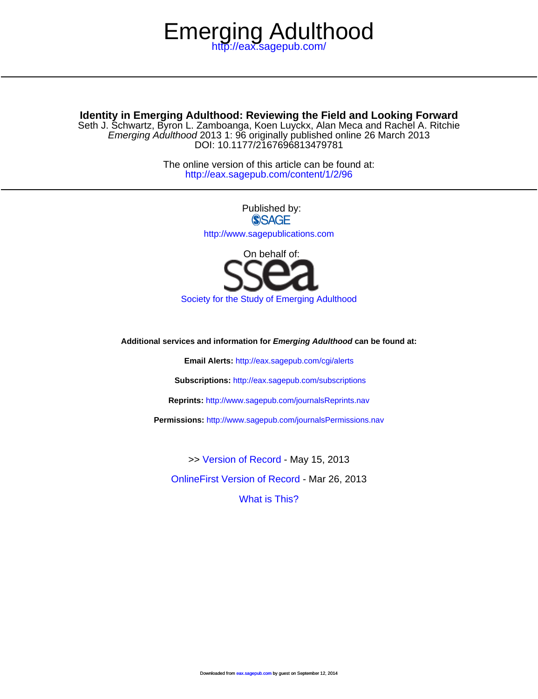# <http://eax.sagepub.com/> Emerging Adulthood

DOI: 10.1177/2167696813479781 Emerging Adulthood 2013 1: 96 originally published online 26 March 2013 Seth J. Schwartz, Byron L. Zamboanga, Koen Luyckx, Alan Meca and Rachel A. Ritchie **Identity in Emerging Adulthood: Reviewing the Field and Looking Forward**

> <http://eax.sagepub.com/content/1/2/96> The online version of this article can be found at:

> > Published by: **SSAGE** <http://www.sagepublications.com>



[Society for the Study of Emerging Adulthood](http://www.ssea.org)

**Additional services and information for Emerging Adulthood can be found at:**

**Email Alerts:** <http://eax.sagepub.com/cgi/alerts>

**Subscriptions:** <http://eax.sagepub.com/subscriptions>

**Reprints:** <http://www.sagepub.com/journalsReprints.nav>

**Permissions:** <http://www.sagepub.com/journalsPermissions.nav>

[What is This?](http://online.sagepub.com/site/sphelp/vorhelp.xhtml) [OnlineFirst Version of Record -](http://eax.sagepub.com/content/early/2013/03/05/2167696813479781.full.pdf) Mar 26, 2013 >> [Version of Record -](http://eax.sagepub.com/content/1/2/96.full.pdf) May 15, 2013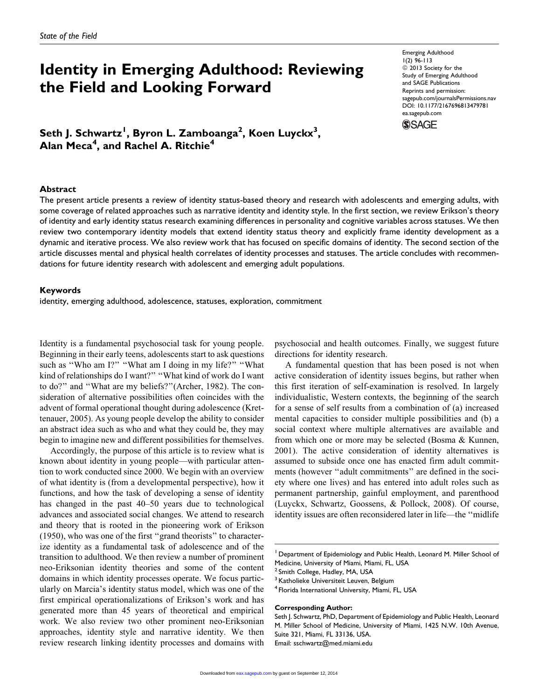# Identity in Emerging Adulthood: Reviewing the Field and Looking Forward

Emerging Adulthood 1(2) 96-113  $\odot$  2013 Society for the Study of Emerging Adulthood and SAGE Publications Reprints and permission: [sagepub.com/journalsPermissions.nav](http://www.sagepub.com/journalsPermissions.nav) DOI: 10.1177/2167696813479781 [ea.sagepub.com](http://ea.sagepub.com)



Seth J. Schwartz<sup>I</sup>, Byron L. Zamboanga<sup>2</sup>, Koen Luyckx<sup>3</sup>, Alan  $\sf Meca^4$ , and Rachel A. Ritchie $^4$ 

## Abstract

The present article presents a review of identity status-based theory and research with adolescents and emerging adults, with some coverage of related approaches such as narrative identity and identity style. In the first section, we review Erikson's theory of identity and early identity status research examining differences in personality and cognitive variables across statuses. We then review two contemporary identity models that extend identity status theory and explicitly frame identity development as a dynamic and iterative process. We also review work that has focused on specific domains of identity. The second section of the article discusses mental and physical health correlates of identity processes and statuses. The article concludes with recommendations for future identity research with adolescent and emerging adult populations.

## Keywords

identity, emerging adulthood, adolescence, statuses, exploration, commitment

Identity is a fundamental psychosocial task for young people. Beginning in their early teens, adolescents start to ask questions such as "Who am I?" "What am I doing in my life?" "What kind of relationships do I want?" "What kind of work do I want to do?'' and ''What are my beliefs?''(Archer, 1982). The consideration of alternative possibilities often coincides with the advent of formal operational thought during adolescence (Krettenauer, 2005). As young people develop the ability to consider an abstract idea such as who and what they could be, they may begin to imagine new and different possibilities for themselves.

Accordingly, the purpose of this article is to review what is known about identity in young people—with particular attention to work conducted since 2000. We begin with an overview of what identity is (from a developmental perspective), how it functions, and how the task of developing a sense of identity has changed in the past 40–50 years due to technological advances and associated social changes. We attend to research and theory that is rooted in the pioneering work of Erikson (1950), who was one of the first ''grand theorists'' to characterize identity as a fundamental task of adolescence and of the transition to adulthood. We then review a number of prominent neo-Eriksonian identity theories and some of the content domains in which identity processes operate. We focus particularly on Marcia's identity status model, which was one of the first empirical operationalizations of Erikson's work and has generated more than 45 years of theoretical and empirical work. We also review two other prominent neo-Eriksonian approaches, identity style and narrative identity. We then review research linking identity processes and domains with

psychosocial and health outcomes. Finally, we suggest future directions for identity research.

A fundamental question that has been posed is not when active consideration of identity issues begins, but rather when this first iteration of self-examination is resolved. In largely individualistic, Western contexts, the beginning of the search for a sense of self results from a combination of (a) increased mental capacities to consider multiple possibilities and (b) a social context where multiple alternatives are available and from which one or more may be selected (Bosma & Kunnen, 2001). The active consideration of identity alternatives is assumed to subside once one has enacted firm adult commitments (however ''adult commitments'' are defined in the society where one lives) and has entered into adult roles such as permanent partnership, gainful employment, and parenthood (Luyckx, Schwartz, Goossens, & Pollock, 2008). Of course, identity issues are often reconsidered later in life—the ''midlife

#### Corresponding Author:

Department of Epidemiology and Public Health, Leonard M. Miller School of Medicine, University of Miami, Miami, FL, USA

<sup>&</sup>lt;sup>2</sup> Smith College, Hadley, MA, USA

<sup>&</sup>lt;sup>3</sup> Katholieke Universiteit Leuven, Belgium

<sup>&</sup>lt;sup>4</sup> Florida International University, Miami, FL, USA

Seth J. Schwartz, PhD, Department of Epidemiology and Public Health, Leonard M. Miller School of Medicine, University of Miami, 1425 N.W. 10th Avenue, Suite 321, Miami, FL 33136, USA. Email: sschwartz@med.miami.edu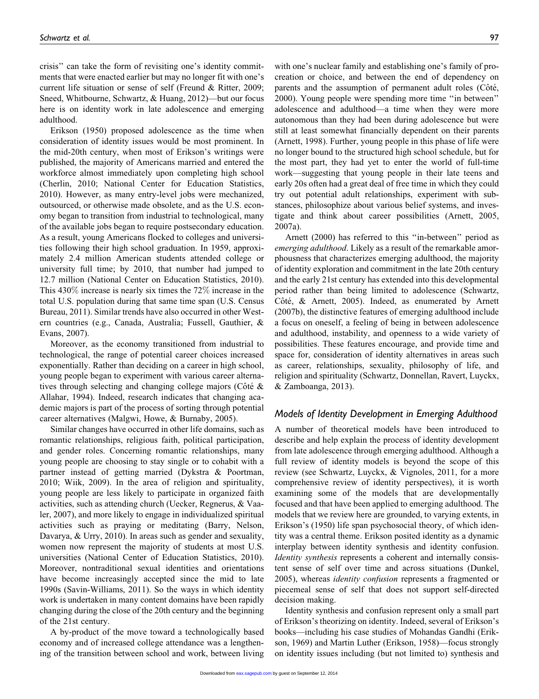crisis'' can take the form of revisiting one's identity commitments that were enacted earlier but may no longer fit with one's current life situation or sense of self (Freund & Ritter, 2009; Sneed, Whitbourne, Schwartz, & Huang, 2012)—but our focus here is on identity work in late adolescence and emerging adulthood.

Erikson (1950) proposed adolescence as the time when consideration of identity issues would be most prominent. In the mid-20th century, when most of Erikson's writings were published, the majority of Americans married and entered the workforce almost immediately upon completing high school (Cherlin, 2010; National Center for Education Statistics, 2010). However, as many entry-level jobs were mechanized, outsourced, or otherwise made obsolete, and as the U.S. economy began to transition from industrial to technological, many of the available jobs began to require postsecondary education. As a result, young Americans flocked to colleges and universities following their high school graduation. In 1959, approximately 2.4 million American students attended college or university full time; by 2010, that number had jumped to 12.7 million (National Center on Education Statistics, 2010). This 430% increase is nearly six times the 72% increase in the total U.S. population during that same time span (U.S. Census Bureau, 2011). Similar trends have also occurred in other Western countries (e.g., Canada, Australia; Fussell, Gauthier, & Evans, 2007).

Moreover, as the economy transitioned from industrial to technological, the range of potential career choices increased exponentially. Rather than deciding on a career in high school, young people began to experiment with various career alternatives through selecting and changing college majors (Côté  $\&$ Allahar, 1994). Indeed, research indicates that changing academic majors is part of the process of sorting through potential career alternatives (Malgwi, Howe, & Burnaby, 2005).

Similar changes have occurred in other life domains, such as romantic relationships, religious faith, political participation, and gender roles. Concerning romantic relationships, many young people are choosing to stay single or to cohabit with a partner instead of getting married (Dykstra & Poortman, 2010; Wiik, 2009). In the area of religion and spirituality, young people are less likely to participate in organized faith activities, such as attending church (Uecker, Regnerus, & Vaaler, 2007), and more likely to engage in individualized spiritual activities such as praying or meditating (Barry, Nelson, Davarya, & Urry, 2010). In areas such as gender and sexuality, women now represent the majority of students at most U.S. universities (National Center of Education Statistics, 2010). Moreover, nontraditional sexual identities and orientations have become increasingly accepted since the mid to late 1990s (Savin-Williams, 2011). So the ways in which identity work is undertaken in many content domains have been rapidly changing during the close of the 20th century and the beginning of the 21st century.

A by-product of the move toward a technologically based economy and of increased college attendance was a lengthening of the transition between school and work, between living

with one's nuclear family and establishing one's family of procreation or choice, and between the end of dependency on parents and the assumption of permanent adult roles (Côté, 2000). Young people were spending more time ''in between'' adolescence and adulthood—a time when they were more autonomous than they had been during adolescence but were still at least somewhat financially dependent on their parents (Arnett, 1998). Further, young people in this phase of life were no longer bound to the structured high school schedule, but for the most part, they had yet to enter the world of full-time work—suggesting that young people in their late teens and early 20s often had a great deal of free time in which they could try out potential adult relationships, experiment with substances, philosophize about various belief systems, and investigate and think about career possibilities (Arnett, 2005, 2007a).

Arnett (2000) has referred to this ''in-between'' period as emerging adulthood. Likely as a result of the remarkable amorphousness that characterizes emerging adulthood, the majority of identity exploration and commitment in the late 20th century and the early 21st century has extended into this developmental period rather than being limited to adolescence (Schwartz, Côté, & Arnett, 2005). Indeed, as enumerated by Arnett (2007b), the distinctive features of emerging adulthood include a focus on oneself, a feeling of being in between adolescence and adulthood, instability, and openness to a wide variety of possibilities. These features encourage, and provide time and space for, consideration of identity alternatives in areas such as career, relationships, sexuality, philosophy of life, and religion and spirituality (Schwartz, Donnellan, Ravert, Luyckx, & Zamboanga, 2013).

## Models of Identity Development in Emerging Adulthood

A number of theoretical models have been introduced to describe and help explain the process of identity development from late adolescence through emerging adulthood. Although a full review of identity models is beyond the scope of this review (see Schwartz, Luyckx, & Vignoles, 2011, for a more comprehensive review of identity perspectives), it is worth examining some of the models that are developmentally focused and that have been applied to emerging adulthood. The models that we review here are grounded, to varying extents, in Erikson's (1950) life span psychosocial theory, of which identity was a central theme. Erikson posited identity as a dynamic interplay between identity synthesis and identity confusion. Identity synthesis represents a coherent and internally consistent sense of self over time and across situations (Dunkel, 2005), whereas *identity confusion* represents a fragmented or piecemeal sense of self that does not support self-directed decision making.

Identity synthesis and confusion represent only a small part of Erikson's theorizing on identity. Indeed, several of Erikson's books—including his case studies of Mohandas Gandhi (Erikson, 1969) and Martin Luther (Erikson, 1958)—focus strongly on identity issues including (but not limited to) synthesis and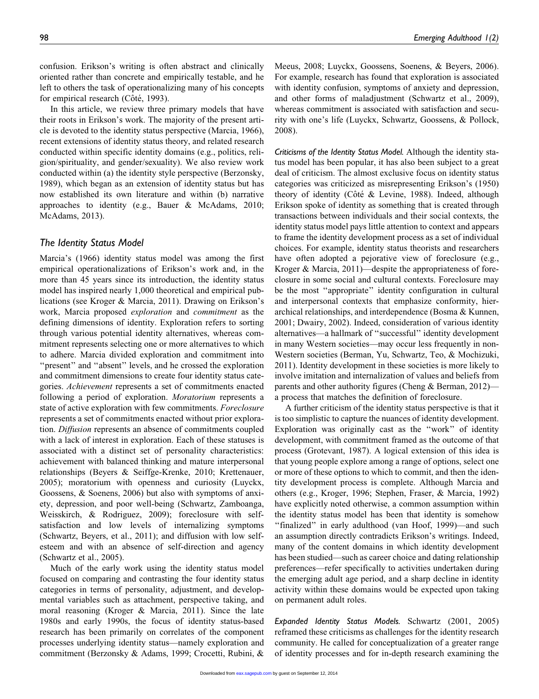confusion. Erikson's writing is often abstract and clinically oriented rather than concrete and empirically testable, and he left to others the task of operationalizing many of his concepts for empirical research (Côté, 1993).

In this article, we review three primary models that have their roots in Erikson's work. The majority of the present article is devoted to the identity status perspective (Marcia, 1966), recent extensions of identity status theory, and related research conducted within specific identity domains (e.g., politics, religion/spirituality, and gender/sexuality). We also review work conducted within (a) the identity style perspective (Berzonsky, 1989), which began as an extension of identity status but has now established its own literature and within (b) narrative approaches to identity (e.g., Bauer & McAdams, 2010; McAdams, 2013).

## The Identity Status Model

Marcia's (1966) identity status model was among the first empirical operationalizations of Erikson's work and, in the more than 45 years since its introduction, the identity status model has inspired nearly 1,000 theoretical and empirical publications (see Kroger & Marcia, 2011). Drawing on Erikson's work, Marcia proposed exploration and commitment as the defining dimensions of identity. Exploration refers to sorting through various potential identity alternatives, whereas commitment represents selecting one or more alternatives to which to adhere. Marcia divided exploration and commitment into ''present'' and ''absent'' levels, and he crossed the exploration and commitment dimensions to create four identity status categories. Achievement represents a set of commitments enacted following a period of exploration. Moratorium represents a state of active exploration with few commitments. Foreclosure represents a set of commitments enacted without prior exploration. Diffusion represents an absence of commitments coupled with a lack of interest in exploration. Each of these statuses is associated with a distinct set of personality characteristics: achievement with balanced thinking and mature interpersonal relationships (Beyers & Seiffge-Krenke, 2010; Krettenauer, 2005); moratorium with openness and curiosity (Luyckx, Goossens, & Soenens, 2006) but also with symptoms of anxiety, depression, and poor well-being (Schwartz, Zamboanga, Weisskirch, & Rodriguez, 2009); foreclosure with selfsatisfaction and low levels of internalizing symptoms (Schwartz, Beyers, et al., 2011); and diffusion with low selfesteem and with an absence of self-direction and agency (Schwartz et al., 2005).

Much of the early work using the identity status model focused on comparing and contrasting the four identity status categories in terms of personality, adjustment, and developmental variables such as attachment, perspective taking, and moral reasoning (Kroger & Marcia, 2011). Since the late 1980s and early 1990s, the focus of identity status-based research has been primarily on correlates of the component processes underlying identity status—namely exploration and commitment (Berzonsky & Adams, 1999; Crocetti, Rubini, &

Meeus, 2008; Luyckx, Goossens, Soenens, & Beyers, 2006). For example, research has found that exploration is associated with identity confusion, symptoms of anxiety and depression, and other forms of maladjustment (Schwartz et al., 2009), whereas commitment is associated with satisfaction and security with one's life (Luyckx, Schwartz, Goossens, & Pollock, 2008).

Criticisms of the Identity Status Model. Although the identity status model has been popular, it has also been subject to a great deal of criticism. The almost exclusive focus on identity status categories was criticized as misrepresenting Erikson's (1950) theory of identity (Côté & Levine, 1988). Indeed, although Erikson spoke of identity as something that is created through transactions between individuals and their social contexts, the identity status model pays little attention to context and appears to frame the identity development process as a set of individual choices. For example, identity status theorists and researchers have often adopted a pejorative view of foreclosure (e.g., Kroger & Marcia, 2011)—despite the appropriateness of foreclosure in some social and cultural contexts. Foreclosure may be the most ''appropriate'' identity configuration in cultural and interpersonal contexts that emphasize conformity, hierarchical relationships, and interdependence (Bosma & Kunnen, 2001; Dwairy, 2002). Indeed, consideration of various identity alternatives—a hallmark of ''successful'' identity development in many Western societies—may occur less frequently in non-Western societies (Berman, Yu, Schwartz, Teo, & Mochizuki, 2011). Identity development in these societies is more likely to involve imitation and internalization of values and beliefs from parents and other authority figures (Cheng & Berman, 2012) a process that matches the definition of foreclosure.

A further criticism of the identity status perspective is that it is too simplistic to capture the nuances of identity development. Exploration was originally cast as the ''work'' of identity development, with commitment framed as the outcome of that process (Grotevant, 1987). A logical extension of this idea is that young people explore among a range of options, select one or more of these options to which to commit, and then the identity development process is complete. Although Marcia and others (e.g., Kroger, 1996; Stephen, Fraser, & Marcia, 1992) have explicitly noted otherwise, a common assumption within the identity status model has been that identity is somehow ''finalized'' in early adulthood (van Hoof, 1999)—and such an assumption directly contradicts Erikson's writings. Indeed, many of the content domains in which identity development has been studied—such as career choice and dating relationship preferences—refer specifically to activities undertaken during the emerging adult age period, and a sharp decline in identity activity within these domains would be expected upon taking on permanent adult roles.

Expanded Identity Status Models. Schwartz (2001, 2005) reframed these criticisms as challenges for the identity research community. He called for conceptualization of a greater range of identity processes and for in-depth research examining the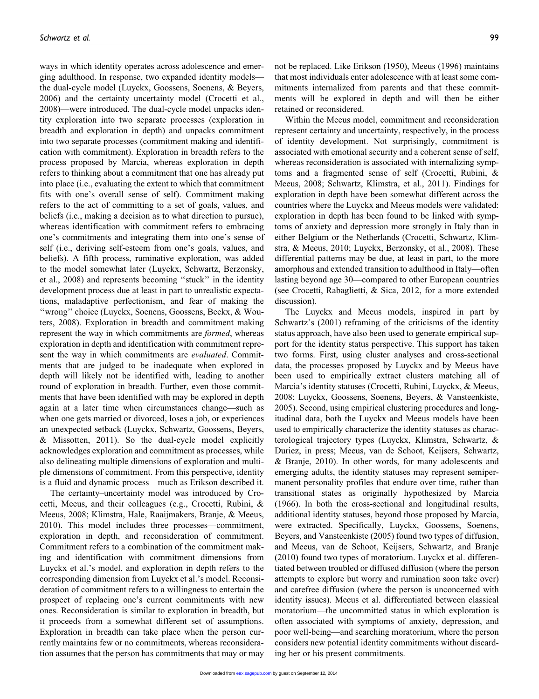ways in which identity operates across adolescence and emerging adulthood. In response, two expanded identity models the dual-cycle model (Luyckx, Goossens, Soenens, & Beyers, 2006) and the certainty–uncertainty model (Crocetti et al., 2008)—were introduced. The dual-cycle model unpacks identity exploration into two separate processes (exploration in breadth and exploration in depth) and unpacks commitment into two separate processes (commitment making and identification with commitment). Exploration in breadth refers to the process proposed by Marcia, whereas exploration in depth refers to thinking about a commitment that one has already put into place (i.e., evaluating the extent to which that commitment fits with one's overall sense of self). Commitment making refers to the act of committing to a set of goals, values, and beliefs (i.e., making a decision as to what direction to pursue), whereas identification with commitment refers to embracing one's commitments and integrating them into one's sense of self (i.e., deriving self-esteem from one's goals, values, and beliefs). A fifth process, ruminative exploration, was added to the model somewhat later (Luyckx, Schwartz, Berzonsky, et al., 2008) and represents becoming ''stuck'' in the identity development process due at least in part to unrealistic expectations, maladaptive perfectionism, and fear of making the ''wrong'' choice (Luyckx, Soenens, Goossens, Beckx, & Wouters, 2008). Exploration in breadth and commitment making represent the way in which commitments are *formed*, whereas exploration in depth and identification with commitment represent the way in which commitments are *evaluated*. Commitments that are judged to be inadequate when explored in depth will likely not be identified with, leading to another round of exploration in breadth. Further, even those commitments that have been identified with may be explored in depth again at a later time when circumstances change—such as when one gets married or divorced, loses a job, or experiences an unexpected setback (Luyckx, Schwartz, Goossens, Beyers, & Missotten, 2011). So the dual-cycle model explicitly acknowledges exploration and commitment as processes, while also delineating multiple dimensions of exploration and multiple dimensions of commitment. From this perspective, identity is a fluid and dynamic process—much as Erikson described it.

The certainty–uncertainty model was introduced by Crocetti, Meeus, and their colleagues (e.g., Crocetti, Rubini, & Meeus, 2008; Klimstra, Hale, Raaijmakers, Branje, & Meeus, 2010). This model includes three processes—commitment, exploration in depth, and reconsideration of commitment. Commitment refers to a combination of the commitment making and identification with commitment dimensions from Luyckx et al.'s model, and exploration in depth refers to the corresponding dimension from Luyckx et al.'s model. Reconsideration of commitment refers to a willingness to entertain the prospect of replacing one's current commitments with new ones. Reconsideration is similar to exploration in breadth, but it proceeds from a somewhat different set of assumptions. Exploration in breadth can take place when the person currently maintains few or no commitments, whereas reconsideration assumes that the person has commitments that may or may

not be replaced. Like Erikson (1950), Meeus (1996) maintains that most individuals enter adolescence with at least some commitments internalized from parents and that these commitments will be explored in depth and will then be either retained or reconsidered.

Within the Meeus model, commitment and reconsideration represent certainty and uncertainty, respectively, in the process of identity development. Not surprisingly, commitment is associated with emotional security and a coherent sense of self, whereas reconsideration is associated with internalizing symptoms and a fragmented sense of self (Crocetti, Rubini, & Meeus, 2008; Schwartz, Klimstra, et al., 2011). Findings for exploration in depth have been somewhat different across the countries where the Luyckx and Meeus models were validated: exploration in depth has been found to be linked with symptoms of anxiety and depression more strongly in Italy than in either Belgium or the Netherlands (Crocetti, Schwartz, Klimstra, & Meeus, 2010; Luyckx, Berzonsky, et al., 2008). These differential patterns may be due, at least in part, to the more amorphous and extended transition to adulthood in Italy—often lasting beyond age 30—compared to other European countries (see Crocetti, Rabaglietti, & Sica, 2012, for a more extended discussion).

The Luyckx and Meeus models, inspired in part by Schwartz's (2001) reframing of the criticisms of the identity status approach, have also been used to generate empirical support for the identity status perspective. This support has taken two forms. First, using cluster analyses and cross-sectional data, the processes proposed by Luyckx and by Meeus have been used to empirically extract clusters matching all of Marcia's identity statuses (Crocetti, Rubini, Luyckx, & Meeus, 2008; Luyckx, Goossens, Soenens, Beyers, & Vansteenkiste, 2005). Second, using empirical clustering procedures and longitudinal data, both the Luyckx and Meeus models have been used to empirically characterize the identity statuses as characterological trajectory types (Luyckx, Klimstra, Schwartz, & Duriez, in press; Meeus, van de Schoot, Keijsers, Schwartz, & Branje, 2010). In other words, for many adolescents and emerging adults, the identity statuses may represent semipermanent personality profiles that endure over time, rather than transitional states as originally hypothesized by Marcia (1966). In both the cross-sectional and longitudinal results, additional identity statuses, beyond those proposed by Marcia, were extracted. Specifically, Luyckx, Goossens, Soenens, Beyers, and Vansteenkiste (2005) found two types of diffusion, and Meeus, van de Schoot, Keijsers, Schwartz, and Branje (2010) found two types of moratorium. Luyckx et al. differentiated between troubled or diffused diffusion (where the person attempts to explore but worry and rumination soon take over) and carefree diffusion (where the person is unconcerned with identity issues). Meeus et al. differentiated between classical moratorium—the uncommitted status in which exploration is often associated with symptoms of anxiety, depression, and poor well-being—and searching moratorium, where the person considers new potential identity commitments without discarding her or his present commitments.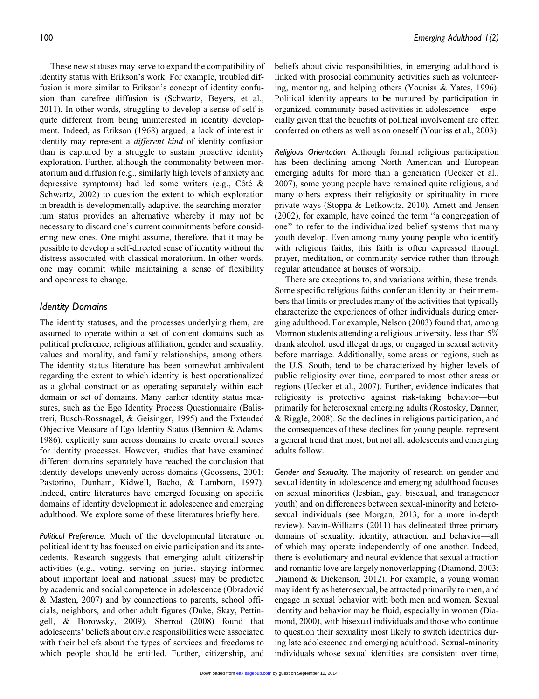These new statuses may serve to expand the compatibility of identity status with Erikson's work. For example, troubled diffusion is more similar to Erikson's concept of identity confusion than carefree diffusion is (Schwartz, Beyers, et al., 2011). In other words, struggling to develop a sense of self is quite different from being uninterested in identity development. Indeed, as Erikson (1968) argued, a lack of interest in identity may represent a *different kind* of identity confusion than is captured by a struggle to sustain proactive identity exploration. Further, although the commonality between moratorium and diffusion (e.g., similarly high levels of anxiety and depressive symptoms) had led some writers (e.g., Côté  $\&$ Schwartz, 2002) to question the extent to which exploration in breadth is developmentally adaptive, the searching moratorium status provides an alternative whereby it may not be necessary to discard one's current commitments before considering new ones. One might assume, therefore, that it may be possible to develop a self-directed sense of identity without the distress associated with classical moratorium. In other words, one may commit while maintaining a sense of flexibility and openness to change.

## Identity Domains

The identity statuses, and the processes underlying them, are assumed to operate within a set of content domains such as political preference, religious affiliation, gender and sexuality, values and morality, and family relationships, among others. The identity status literature has been somewhat ambivalent regarding the extent to which identity is best operationalized as a global construct or as operating separately within each domain or set of domains. Many earlier identity status measures, such as the Ego Identity Process Questionnaire (Balistreri, Busch-Rossnagel, & Geisinger, 1995) and the Extended Objective Measure of Ego Identity Status (Bennion & Adams, 1986), explicitly sum across domains to create overall scores for identity processes. However, studies that have examined different domains separately have reached the conclusion that identity develops unevenly across domains (Goossens, 2001; Pastorino, Dunham, Kidwell, Bacho, & Lamborn, 1997). Indeed, entire literatures have emerged focusing on specific domains of identity development in adolescence and emerging adulthood. We explore some of these literatures briefly here.

Political Preference. Much of the developmental literature on political identity has focused on civic participation and its antecedents. Research suggests that emerging adult citizenship activities (e.g., voting, serving on juries, staying informed about important local and national issues) may be predicted by academic and social competence in adolescence (Obradovic´ & Masten, 2007) and by connections to parents, school officials, neighbors, and other adult figures (Duke, Skay, Pettingell, & Borowsky, 2009). Sherrod (2008) found that adolescents' beliefs about civic responsibilities were associated with their beliefs about the types of services and freedoms to which people should be entitled. Further, citizenship, and

beliefs about civic responsibilities, in emerging adulthood is linked with prosocial community activities such as volunteering, mentoring, and helping others (Youniss & Yates, 1996). Political identity appears to be nurtured by participation in organized, community-based activities in adolescence— especially given that the benefits of political involvement are often conferred on others as well as on oneself (Youniss et al., 2003).

Religious Orientation. Although formal religious participation has been declining among North American and European emerging adults for more than a generation (Uecker et al., 2007), some young people have remained quite religious, and many others express their religiosity or spirituality in more private ways (Stoppa & Lefkowitz, 2010). Arnett and Jensen (2002), for example, have coined the term ''a congregation of one'' to refer to the individualized belief systems that many youth develop. Even among many young people who identify with religious faiths, this faith is often expressed through prayer, meditation, or community service rather than through regular attendance at houses of worship.

There are exceptions to, and variations within, these trends. Some specific religious faiths confer an identity on their members that limits or precludes many of the activities that typically characterize the experiences of other individuals during emerging adulthood. For example, Nelson (2003) found that, among Mormon students attending a religious university, less than  $5\%$ drank alcohol, used illegal drugs, or engaged in sexual activity before marriage. Additionally, some areas or regions, such as the U.S. South, tend to be characterized by higher levels of public religiosity over time, compared to most other areas or regions (Uecker et al., 2007). Further, evidence indicates that religiosity is protective against risk-taking behavior—but primarily for heterosexual emerging adults (Rostosky, Danner, & Riggle, 2008). So the declines in religious participation, and the consequences of these declines for young people, represent a general trend that most, but not all, adolescents and emerging adults follow.

Gender and Sexuality. The majority of research on gender and sexual identity in adolescence and emerging adulthood focuses on sexual minorities (lesbian, gay, bisexual, and transgender youth) and on differences between sexual-minority and heterosexual individuals (see Morgan, 2013, for a more in-depth review). Savin-Williams (2011) has delineated three primary domains of sexuality: identity, attraction, and behavior—all of which may operate independently of one another. Indeed, there is evolutionary and neural evidence that sexual attraction and romantic love are largely nonoverlapping (Diamond, 2003; Diamond & Dickenson, 2012). For example, a young woman may identify as heterosexual, be attracted primarily to men, and engage in sexual behavior with both men and women. Sexual identity and behavior may be fluid, especially in women (Diamond, 2000), with bisexual individuals and those who continue to question their sexuality most likely to switch identities during late adolescence and emerging adulthood. Sexual-minority individuals whose sexual identities are consistent over time,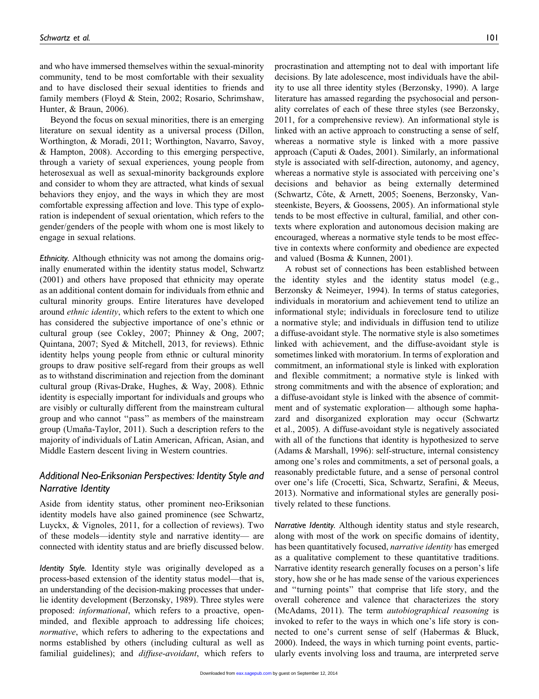and who have immersed themselves within the sexual-minority community, tend to be most comfortable with their sexuality and to have disclosed their sexual identities to friends and family members (Floyd & Stein, 2002; Rosario, Schrimshaw, Hunter, & Braun, 2006).

Beyond the focus on sexual minorities, there is an emerging literature on sexual identity as a universal process (Dillon, Worthington, & Moradi, 2011; Worthington, Navarro, Savoy, & Hampton, 2008). According to this emerging perspective, through a variety of sexual experiences, young people from heterosexual as well as sexual-minority backgrounds explore and consider to whom they are attracted, what kinds of sexual behaviors they enjoy, and the ways in which they are most comfortable expressing affection and love. This type of exploration is independent of sexual orientation, which refers to the gender/genders of the people with whom one is most likely to engage in sexual relations.

Ethnicity. Although ethnicity was not among the domains originally enumerated within the identity status model, Schwartz (2001) and others have proposed that ethnicity may operate as an additional content domain for individuals from ethnic and cultural minority groups. Entire literatures have developed around ethnic identity, which refers to the extent to which one has considered the subjective importance of one's ethnic or cultural group (see Cokley, 2007; Phinney & Ong, 2007; Quintana, 2007; Syed & Mitchell, 2013, for reviews). Ethnic identity helps young people from ethnic or cultural minority groups to draw positive self-regard from their groups as well as to withstand discrimination and rejection from the dominant cultural group (Rivas-Drake, Hughes, & Way, 2008). Ethnic identity is especially important for individuals and groups who are visibly or culturally different from the mainstream cultural group and who cannot ''pass'' as members of the mainstream group (Umaña-Taylor, 2011). Such a description refers to the majority of individuals of Latin American, African, Asian, and Middle Eastern descent living in Western countries.

# Additional Neo-Eriksonian Perspectives: Identity Style and Narrative Identity

Aside from identity status, other prominent neo-Eriksonian identity models have also gained prominence (see Schwartz, Luyckx, & Vignoles, 2011, for a collection of reviews). Two of these models—identity style and narrative identity— are connected with identity status and are briefly discussed below.

Identity Style. Identity style was originally developed as a process-based extension of the identity status model—that is, an understanding of the decision-making processes that underlie identity development (Berzonsky, 1989). Three styles were proposed: informational, which refers to a proactive, openminded, and flexible approach to addressing life choices; normative, which refers to adhering to the expectations and norms established by others (including cultural as well as familial guidelines); and *diffuse-avoidant*, which refers to

procrastination and attempting not to deal with important life decisions. By late adolescence, most individuals have the ability to use all three identity styles (Berzonsky, 1990). A large literature has amassed regarding the psychosocial and personality correlates of each of these three styles (see Berzonsky, 2011, for a comprehensive review). An informational style is linked with an active approach to constructing a sense of self, whereas a normative style is linked with a more passive approach (Caputi & Oades, 2001). Similarly, an informational style is associated with self-direction, autonomy, and agency, whereas a normative style is associated with perceiving one's decisions and behavior as being externally determined (Schwartz, Côte, & Arnett, 2005; Soenens, Berzonsky, Vansteenkiste, Beyers, & Goossens, 2005). An informational style tends to be most effective in cultural, familial, and other contexts where exploration and autonomous decision making are encouraged, whereas a normative style tends to be most effective in contexts where conformity and obedience are expected and valued (Bosma & Kunnen, 2001).

A robust set of connections has been established between the identity styles and the identity status model (e.g., Berzonsky & Neimeyer, 1994). In terms of status categories, individuals in moratorium and achievement tend to utilize an informational style; individuals in foreclosure tend to utilize a normative style; and individuals in diffusion tend to utilize a diffuse-avoidant style. The normative style is also sometimes linked with achievement, and the diffuse-avoidant style is sometimes linked with moratorium. In terms of exploration and commitment, an informational style is linked with exploration and flexible commitment; a normative style is linked with strong commitments and with the absence of exploration; and a diffuse-avoidant style is linked with the absence of commitment and of systematic exploration— although some haphazard and disorganized exploration may occur (Schwartz et al., 2005). A diffuse-avoidant style is negatively associated with all of the functions that identity is hypothesized to serve (Adams & Marshall, 1996): self-structure, internal consistency among one's roles and commitments, a set of personal goals, a reasonably predictable future, and a sense of personal control over one's life (Crocetti, Sica, Schwartz, Serafini, & Meeus, 2013). Normative and informational styles are generally positively related to these functions.

Narrative Identity. Although identity status and style research, along with most of the work on specific domains of identity, has been quantitatively focused, *narrative identity* has emerged as a qualitative complement to these quantitative traditions. Narrative identity research generally focuses on a person's life story, how she or he has made sense of the various experiences and ''turning points'' that comprise that life story, and the overall coherence and valence that characterizes the story (McAdams, 2011). The term autobiographical reasoning is invoked to refer to the ways in which one's life story is connected to one's current sense of self (Habermas & Bluck, 2000). Indeed, the ways in which turning point events, particularly events involving loss and trauma, are interpreted serve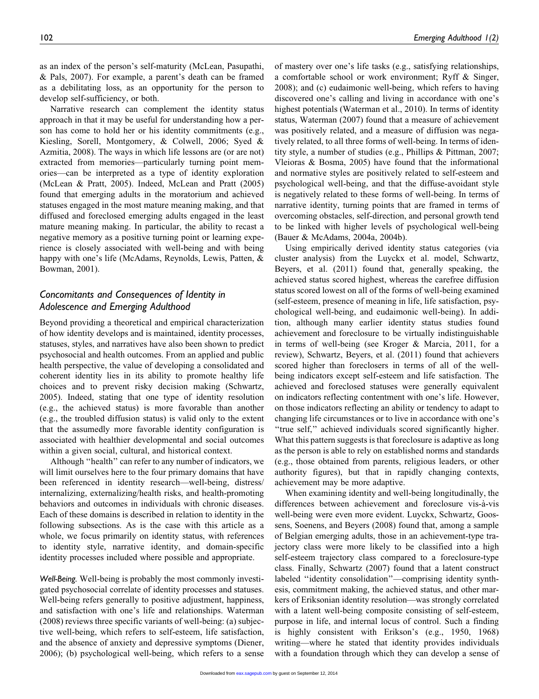as an index of the person's self-maturity (McLean, Pasupathi, & Pals, 2007). For example, a parent's death can be framed as a debilitating loss, as an opportunity for the person to develop self-sufficiency, or both.

Narrative research can complement the identity status approach in that it may be useful for understanding how a person has come to hold her or his identity commitments (e.g., Kiesling, Sorell, Montgomery, & Colwell, 2006; Syed & Azmitia, 2008). The ways in which life lessons are (or are not) extracted from memories—particularly turning point memories—can be interpreted as a type of identity exploration (McLean & Pratt, 2005). Indeed, McLean and Pratt (2005) found that emerging adults in the moratorium and achieved statuses engaged in the most mature meaning making, and that diffused and foreclosed emerging adults engaged in the least mature meaning making. In particular, the ability to recast a negative memory as a positive turning point or learning experience is closely associated with well-being and with being happy with one's life (McAdams, Reynolds, Lewis, Patten, & Bowman, 2001).

# Concomitants and Consequences of Identity in Adolescence and Emerging Adulthood

Beyond providing a theoretical and empirical characterization of how identity develops and is maintained, identity processes, statuses, styles, and narratives have also been shown to predict psychosocial and health outcomes. From an applied and public health perspective, the value of developing a consolidated and coherent identity lies in its ability to promote healthy life choices and to prevent risky decision making (Schwartz, 2005). Indeed, stating that one type of identity resolution (e.g., the achieved status) is more favorable than another (e.g., the troubled diffusion status) is valid only to the extent that the assumedly more favorable identity configuration is associated with healthier developmental and social outcomes within a given social, cultural, and historical context.

Although ''health'' can refer to any number of indicators, we will limit ourselves here to the four primary domains that have been referenced in identity research—well-being, distress/ internalizing, externalizing/health risks, and health-promoting behaviors and outcomes in individuals with chronic diseases. Each of these domains is described in relation to identity in the following subsections. As is the case with this article as a whole, we focus primarily on identity status, with references to identity style, narrative identity, and domain-specific identity processes included where possible and appropriate.

Well-Being. Well-being is probably the most commonly investigated psychosocial correlate of identity processes and statuses. Well-being refers generally to positive adjustment, happiness, and satisfaction with one's life and relationships. Waterman (2008) reviews three specific variants of well-being: (a) subjective well-being, which refers to self-esteem, life satisfaction, and the absence of anxiety and depressive symptoms (Diener, 2006); (b) psychological well-being, which refers to a sense

of mastery over one's life tasks (e.g., satisfying relationships, a comfortable school or work environment; Ryff & Singer, 2008); and (c) eudaimonic well-being, which refers to having discovered one's calling and living in accordance with one's highest potentials (Waterman et al., 2010). In terms of identity status, Waterman (2007) found that a measure of achievement was positively related, and a measure of diffusion was negatively related, to all three forms of well-being. In terms of identity style, a number of studies (e.g., Phillips & Pittman, 2007; Vleioras & Bosma, 2005) have found that the informational and normative styles are positively related to self-esteem and psychological well-being, and that the diffuse-avoidant style is negatively related to these forms of well-being. In terms of narrative identity, turning points that are framed in terms of overcoming obstacles, self-direction, and personal growth tend to be linked with higher levels of psychological well-being (Bauer & McAdams, 2004a, 2004b).

Using empirically derived identity status categories (via cluster analysis) from the Luyckx et al. model, Schwartz, Beyers, et al. (2011) found that, generally speaking, the achieved status scored highest, whereas the carefree diffusion status scored lowest on all of the forms of well-being examined (self-esteem, presence of meaning in life, life satisfaction, psychological well-being, and eudaimonic well-being). In addition, although many earlier identity status studies found achievement and foreclosure to be virtually indistinguishable in terms of well-being (see Kroger & Marcia, 2011, for a review), Schwartz, Beyers, et al. (2011) found that achievers scored higher than foreclosers in terms of all of the wellbeing indicators except self-esteem and life satisfaction. The achieved and foreclosed statuses were generally equivalent on indicators reflecting contentment with one's life. However, on those indicators reflecting an ability or tendency to adapt to changing life circumstances or to live in accordance with one's "true self," achieved individuals scored significantly higher. What this pattern suggests is that foreclosure is adaptive as long as the person is able to rely on established norms and standards (e.g., those obtained from parents, religious leaders, or other authority figures), but that in rapidly changing contexts, achievement may be more adaptive.

When examining identity and well-being longitudinally, the differences between achievement and foreclosure vis-à-vis well-being were even more evident. Luyckx, Schwartz, Goossens, Soenens, and Beyers (2008) found that, among a sample of Belgian emerging adults, those in an achievement-type trajectory class were more likely to be classified into a high self-esteem trajectory class compared to a foreclosure-type class. Finally, Schwartz (2007) found that a latent construct labeled ''identity consolidation''—comprising identity synthesis, commitment making, the achieved status, and other markers of Eriksonian identity resolution—was strongly correlated with a latent well-being composite consisting of self-esteem, purpose in life, and internal locus of control. Such a finding is highly consistent with Erikson's (e.g., 1950, 1968) writing—where he stated that identity provides individuals with a foundation through which they can develop a sense of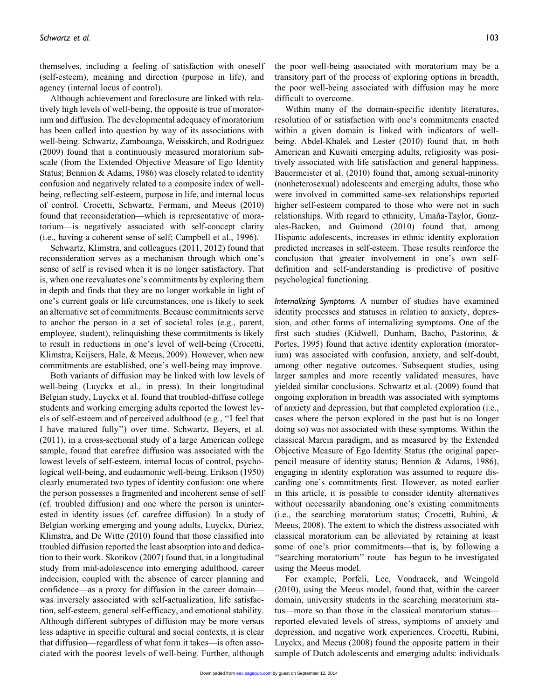themselves, including a feeling of satisfaction with oneself (self-esteem), meaning and direction (purpose in life), and agency (internal locus of control).

Although achievement and foreclosure are linked with relatively high levels of well-being, the opposite is true of moratorium and diffusion. The developmental adequacy of moratorium has been called into question by way of its associations with well-being. Schwartz, Zamboanga, Weisskirch, and Rodriguez (2009) found that a continuously measured moratorium subscale (from the Extended Objective Measure of Ego Identity Status; Bennion & Adams, 1986) was closely related to identity confusion and negatively related to a composite index of wellbeing, reflecting self-esteem, purpose in life, and internal locus of control. Crocetti, Schwartz, Fermani, and Meeus (2010) found that reconsideration—which is representative of moratorium—is negatively associated with self-concept clarity (i.e., having a coherent sense of self; Campbell et al., 1996).

Schwartz, Klimstra, and colleagues (2011, 2012) found that reconsideration serves as a mechanism through which one's sense of self is revised when it is no longer satisfactory. That is, when one reevaluates one's commitments by exploring them in depth and finds that they are no longer workable in light of one's current goals or life circumstances, one is likely to seek an alternative set of commitments. Because commitments serve to anchor the person in a set of societal roles (e.g., parent, employee, student), relinquishing these commitments is likely to result in reductions in one's level of well-being (Crocetti, Klimstra, Keijsers, Hale, & Meeus, 2009). However, when new commitments are established, one's well-being may improve.

Both variants of diffusion may be linked with low levels of well-being (Luyckx et al., in press). In their longitudinal Belgian study, Luyckx et al. found that troubled-diffuse college students and working emerging adults reported the lowest levels of self-esteem and of perceived adulthood (e.g., ''I feel that I have matured fully'') over time. Schwartz, Beyers, et al. (2011), in a cross-sectional study of a large American college sample, found that carefree diffusion was associated with the lowest levels of self-esteem, internal locus of control, psychological well-being, and eudaimonic well-being. Erikson (1950) clearly enumerated two types of identity confusion: one where the person possesses a fragmented and incoherent sense of self (cf. troubled diffusion) and one where the person is uninterested in identity issues (cf. carefree diffusion). In a study of Belgian working emerging and young adults, Luyckx, Duriez, Klimstra, and De Witte (2010) found that those classified into troubled diffusion reported the least absorption into and dedication to their work. Skorikov (2007) found that, in a longitudinal study from mid-adolescence into emerging adulthood, career indecision, coupled with the absence of career planning and confidence—as a proxy for diffusion in the career domain was inversely associated with self-actualization, life satisfaction, self-esteem, general self-efficacy, and emotional stability. Although different subtypes of diffusion may be more versus less adaptive in specific cultural and social contexts, it is clear that diffusion—regardless of what form it takes—is often associated with the poorest levels of well-being. Further, although

the poor well-being associated with moratorium may be a transitory part of the process of exploring options in breadth, the poor well-being associated with diffusion may be more difficult to overcome.

Within many of the domain-specific identity literatures, resolution of or satisfaction with one's commitments enacted within a given domain is linked with indicators of wellbeing. Abdel-Khalek and Lester (2010) found that, in both American and Kuwaiti emerging adults, religiosity was positively associated with life satisfaction and general happiness. Bauermeister et al. (2010) found that, among sexual-minority (nonheterosexual) adolescents and emerging adults, those who were involved in committed same-sex relationships reported higher self-esteem compared to those who were not in such relationships. With regard to ethnicity, Umaña-Taylor, Gonzales-Backen, and Guimond (2010) found that, among Hispanic adolescents, increases in ethnic identity exploration predicted increases in self-esteem. These results reinforce the conclusion that greater involvement in one's own selfdefinition and self-understanding is predictive of positive psychological functioning.

Internalizing Symptoms. A number of studies have examined identity processes and statuses in relation to anxiety, depression, and other forms of internalizing symptoms. One of the first such studies (Kidwell, Dunham, Bacho, Pastorino, & Portes, 1995) found that active identity exploration (moratorium) was associated with confusion, anxiety, and self-doubt, among other negative outcomes. Subsequent studies, using larger samples and more recently validated measures, have yielded similar conclusions. Schwartz et al. (2009) found that ongoing exploration in breadth was associated with symptoms of anxiety and depression, but that completed exploration (i.e., cases where the person explored in the past but is no longer doing so) was not associated with these symptoms. Within the classical Marcia paradigm, and as measured by the Extended Objective Measure of Ego Identity Status (the original paperpencil measure of identity status; Bennion & Adams, 1986), engaging in identity exploration was assumed to require discarding one's commitments first. However, as noted earlier in this article, it is possible to consider identity alternatives without necessarily abandoning one's existing commitments (i.e., the searching moratorium status; Crocetti, Rubini, & Meeus, 2008). The extent to which the distress associated with classical moratorium can be alleviated by retaining at least some of one's prior commitments—that is, by following a ''searching moratorium'' route—has begun to be investigated using the Meeus model.

For example, Porfeli, Lee, Vondracek, and Weingold (2010), using the Meeus model, found that, within the career domain, university students in the searching moratorium status—more so than those in the classical moratorium status reported elevated levels of stress, symptoms of anxiety and depression, and negative work experiences. Crocetti, Rubini, Luyckx, and Meeus (2008) found the opposite pattern in their sample of Dutch adolescents and emerging adults: individuals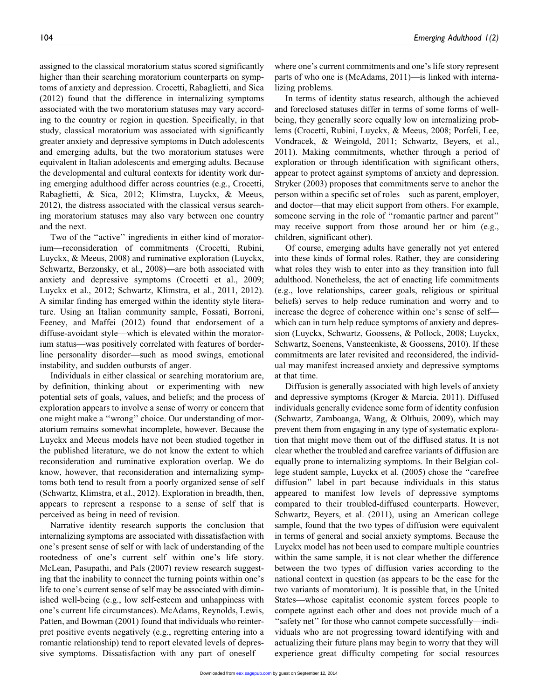assigned to the classical moratorium status scored significantly higher than their searching moratorium counterparts on symptoms of anxiety and depression. Crocetti, Rabaglietti, and Sica (2012) found that the difference in internalizing symptoms associated with the two moratorium statuses may vary according to the country or region in question. Specifically, in that study, classical moratorium was associated with significantly greater anxiety and depressive symptoms in Dutch adolescents and emerging adults, but the two moratorium statuses were equivalent in Italian adolescents and emerging adults. Because the developmental and cultural contexts for identity work during emerging adulthood differ across countries (e.g., Crocetti, Rabaglietti, & Sica, 2012; Klimstra, Luyckx, & Meeus, 2012), the distress associated with the classical versus searching moratorium statuses may also vary between one country and the next.

Two of the "active" ingredients in either kind of moratorium—reconsideration of commitments (Crocetti, Rubini, Luyckx, & Meeus, 2008) and ruminative exploration (Luyckx, Schwartz, Berzonsky, et al., 2008)—are both associated with anxiety and depressive symptoms (Crocetti et al., 2009; Luyckx et al., 2012; Schwartz, Klimstra, et al., 2011, 2012). A similar finding has emerged within the identity style literature. Using an Italian community sample, Fossati, Borroni, Feeney, and Maffei (2012) found that endorsement of a diffuse-avoidant style—which is elevated within the moratorium status—was positively correlated with features of borderline personality disorder—such as mood swings, emotional instability, and sudden outbursts of anger.

Individuals in either classical or searching moratorium are, by definition, thinking about—or experimenting with—new potential sets of goals, values, and beliefs; and the process of exploration appears to involve a sense of worry or concern that one might make a ''wrong'' choice. Our understanding of moratorium remains somewhat incomplete, however. Because the Luyckx and Meeus models have not been studied together in the published literature, we do not know the extent to which reconsideration and ruminative exploration overlap. We do know, however, that reconsideration and internalizing symptoms both tend to result from a poorly organized sense of self (Schwartz, Klimstra, et al., 2012). Exploration in breadth, then, appears to represent a response to a sense of self that is perceived as being in need of revision.

Narrative identity research supports the conclusion that internalizing symptoms are associated with dissatisfaction with one's present sense of self or with lack of understanding of the rootedness of one's current self within one's life story. McLean, Pasupathi, and Pals (2007) review research suggesting that the inability to connect the turning points within one's life to one's current sense of self may be associated with diminished well-being (e.g., low self-esteem and unhappiness with one's current life circumstances). McAdams, Reynolds, Lewis, Patten, and Bowman (2001) found that individuals who reinterpret positive events negatively (e.g., regretting entering into a romantic relationship) tend to report elevated levels of depressive symptoms. Dissatisfaction with any part of oneselfwhere one's current commitments and one's life story represent parts of who one is (McAdams, 2011)—is linked with internalizing problems.

In terms of identity status research, although the achieved and foreclosed statuses differ in terms of some forms of wellbeing, they generally score equally low on internalizing problems (Crocetti, Rubini, Luyckx, & Meeus, 2008; Porfeli, Lee, Vondracek, & Weingold, 2011; Schwartz, Beyers, et al., 2011). Making commitments, whether through a period of exploration or through identification with significant others, appear to protect against symptoms of anxiety and depression. Stryker (2003) proposes that commitments serve to anchor the person within a specific set of roles—such as parent, employer, and doctor—that may elicit support from others. For example, someone serving in the role of ''romantic partner and parent'' may receive support from those around her or him (e.g., children, significant other).

Of course, emerging adults have generally not yet entered into these kinds of formal roles. Rather, they are considering what roles they wish to enter into as they transition into full adulthood. Nonetheless, the act of enacting life commitments (e.g., love relationships, career goals, religious or spiritual beliefs) serves to help reduce rumination and worry and to increase the degree of coherence within one's sense of self which can in turn help reduce symptoms of anxiety and depression (Luyckx, Schwartz, Goossens, & Pollock, 2008; Luyckx, Schwartz, Soenens, Vansteenkiste, & Goossens, 2010). If these commitments are later revisited and reconsidered, the individual may manifest increased anxiety and depressive symptoms at that time.

Diffusion is generally associated with high levels of anxiety and depressive symptoms (Kroger & Marcia, 2011). Diffused individuals generally evidence some form of identity confusion (Schwartz, Zamboanga, Wang, & Olthuis, 2009), which may prevent them from engaging in any type of systematic exploration that might move them out of the diffused status. It is not clear whether the troubled and carefree variants of diffusion are equally prone to internalizing symptoms. In their Belgian college student sample, Luyckx et al. (2005) chose the ''carefree diffusion'' label in part because individuals in this status appeared to manifest low levels of depressive symptoms compared to their troubled-diffused counterparts. However, Schwartz, Beyers, et al. (2011), using an American college sample, found that the two types of diffusion were equivalent in terms of general and social anxiety symptoms. Because the Luyckx model has not been used to compare multiple countries within the same sample, it is not clear whether the difference between the two types of diffusion varies according to the national context in question (as appears to be the case for the two variants of moratorium). It is possible that, in the United States—whose capitalist economic system forces people to compete against each other and does not provide much of a ''safety net'' for those who cannot compete successfully—individuals who are not progressing toward identifying with and actualizing their future plans may begin to worry that they will experience great difficulty competing for social resources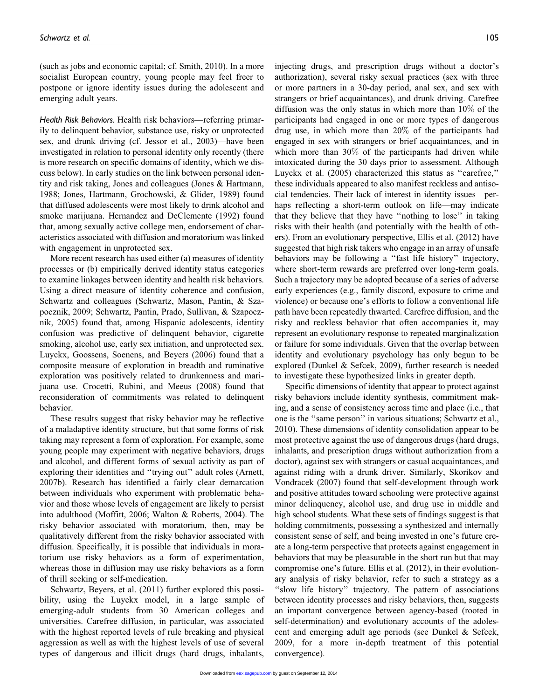(such as jobs and economic capital; cf. Smith, 2010). In a more socialist European country, young people may feel freer to postpone or ignore identity issues during the adolescent and emerging adult years.

Health Risk Behaviors. Health risk behaviors—referring primarily to delinquent behavior, substance use, risky or unprotected sex, and drunk driving (cf. Jessor et al., 2003)—have been investigated in relation to personal identity only recently (there is more research on specific domains of identity, which we discuss below). In early studies on the link between personal identity and risk taking, Jones and colleagues (Jones & Hartmann, 1988; Jones, Hartmann, Grochowski, & Glider, 1989) found that diffused adolescents were most likely to drink alcohol and smoke marijuana. Hernandez and DeClemente (1992) found that, among sexually active college men, endorsement of characteristics associated with diffusion and moratorium was linked with engagement in unprotected sex.

More recent research has used either (a) measures of identity processes or (b) empirically derived identity status categories to examine linkages between identity and health risk behaviors. Using a direct measure of identity coherence and confusion, Schwartz and colleagues (Schwartz, Mason, Pantin, & Szapocznik, 2009; Schwartz, Pantin, Prado, Sullivan, & Szapocznik, 2005) found that, among Hispanic adolescents, identity confusion was predictive of delinquent behavior, cigarette smoking, alcohol use, early sex initiation, and unprotected sex. Luyckx, Goossens, Soenens, and Beyers (2006) found that a composite measure of exploration in breadth and ruminative exploration was positively related to drunkenness and marijuana use. Crocetti, Rubini, and Meeus (2008) found that reconsideration of commitments was related to delinquent behavior.

These results suggest that risky behavior may be reflective of a maladaptive identity structure, but that some forms of risk taking may represent a form of exploration. For example, some young people may experiment with negative behaviors, drugs and alcohol, and different forms of sexual activity as part of exploring their identities and ''trying out'' adult roles (Arnett, 2007b). Research has identified a fairly clear demarcation between individuals who experiment with problematic behavior and those whose levels of engagement are likely to persist into adulthood (Moffitt, 2006; Walton & Roberts, 2004). The risky behavior associated with moratorium, then, may be qualitatively different from the risky behavior associated with diffusion. Specifically, it is possible that individuals in moratorium use risky behaviors as a form of experimentation, whereas those in diffusion may use risky behaviors as a form of thrill seeking or self-medication.

Schwartz, Beyers, et al. (2011) further explored this possibility, using the Luyckx model, in a large sample of emerging-adult students from 30 American colleges and universities. Carefree diffusion, in particular, was associated with the highest reported levels of rule breaking and physical aggression as well as with the highest levels of use of several types of dangerous and illicit drugs (hard drugs, inhalants,

injecting drugs, and prescription drugs without a doctor's authorization), several risky sexual practices (sex with three or more partners in a 30-day period, anal sex, and sex with strangers or brief acquaintances), and drunk driving. Carefree diffusion was the only status in which more than 10% of the participants had engaged in one or more types of dangerous drug use, in which more than 20% of the participants had engaged in sex with strangers or brief acquaintances, and in which more than 30% of the participants had driven while intoxicated during the 30 days prior to assessment. Although Luyckx et al. (2005) characterized this status as ''carefree,'' these individuals appeared to also manifest reckless and antisocial tendencies. Their lack of interest in identity issues—perhaps reflecting a short-term outlook on life—may indicate that they believe that they have ''nothing to lose'' in taking risks with their health (and potentially with the health of others). From an evolutionary perspective, Ellis et al. (2012) have suggested that high risk takers who engage in an array of unsafe behaviors may be following a ''fast life history'' trajectory, where short-term rewards are preferred over long-term goals. Such a trajectory may be adopted because of a series of adverse early experiences (e.g., family discord, exposure to crime and violence) or because one's efforts to follow a conventional life path have been repeatedly thwarted. Carefree diffusion, and the risky and reckless behavior that often accompanies it, may represent an evolutionary response to repeated marginalization or failure for some individuals. Given that the overlap between identity and evolutionary psychology has only begun to be explored (Dunkel & Sefcek, 2009), further research is needed to investigate these hypothesized links in greater depth.

Specific dimensions of identity that appear to protect against risky behaviors include identity synthesis, commitment making, and a sense of consistency across time and place (i.e., that one is the ''same person'' in various situations; Schwartz et al., 2010). These dimensions of identity consolidation appear to be most protective against the use of dangerous drugs (hard drugs, inhalants, and prescription drugs without authorization from a doctor), against sex with strangers or casual acquaintances, and against riding with a drunk driver. Similarly, Skorikov and Vondracek (2007) found that self-development through work and positive attitudes toward schooling were protective against minor delinquency, alcohol use, and drug use in middle and high school students. What these sets of findings suggest is that holding commitments, possessing a synthesized and internally consistent sense of self, and being invested in one's future create a long-term perspective that protects against engagement in behaviors that may be pleasurable in the short run but that may compromise one's future. Ellis et al. (2012), in their evolutionary analysis of risky behavior, refer to such a strategy as a "slow life history" trajectory. The pattern of associations between identity processes and risky behaviors, then, suggests an important convergence between agency-based (rooted in self-determination) and evolutionary accounts of the adolescent and emerging adult age periods (see Dunkel & Sefcek, 2009, for a more in-depth treatment of this potential convergence).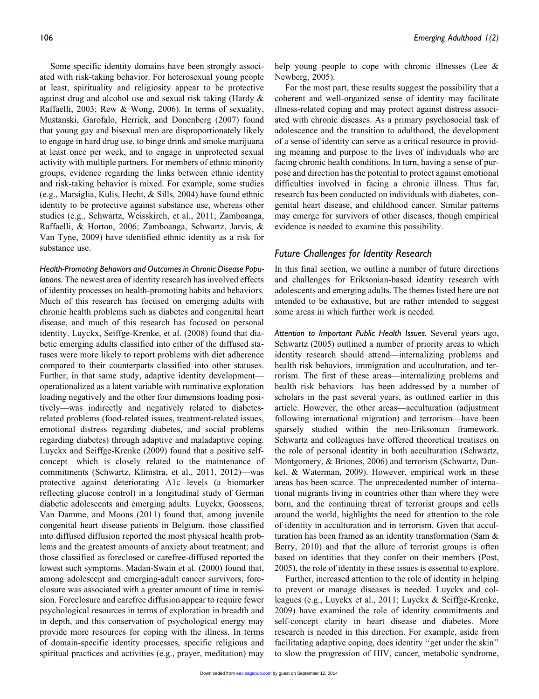Some specific identity domains have been strongly associated with risk-taking behavior. For heterosexual young people at least, spirituality and religiosity appear to be protective against drug and alcohol use and sexual risk taking (Hardy & Raffaelli, 2003; Rew & Wong, 2006). In terms of sexuality, Mustanski, Garofalo, Herrick, and Donenberg (2007) found that young gay and bisexual men are disproportionately likely to engage in hard drug use, to binge drink and smoke marijuana at least once per week, and to engage in unprotected sexual activity with multiple partners. For members of ethnic minority groups, evidence regarding the links between ethnic identity and risk-taking behavior is mixed. For example, some studies (e.g., Marsiglia, Kulis, Hecht, & Sills, 2004) have found ethnic identity to be protective against substance use, whereas other studies (e.g., Schwartz, Weisskirch, et al., 2011; Zamboanga, Raffaelli, & Horton, 2006; Zamboanga, Schwartz, Jarvis, & Van Tyne, 2009) have identified ethnic identity as a risk for substance use.

Health-Promoting Behaviors and Outcomes in Chronic Disease Populations. The newest area of identity research has involved effects of identity processes on health-promoting habits and behaviors. Much of this research has focused on emerging adults with chronic health problems such as diabetes and congenital heart disease, and much of this research has focused on personal identity. Luyckx, Seiffge-Krenke, et al. (2008) found that diabetic emerging adults classified into either of the diffused statuses were more likely to report problems with diet adherence compared to their counterparts classified into other statuses. Further, in that same study, adaptive identity development operationalized as a latent variable with ruminative exploration loading negatively and the other four dimensions loading positively—was indirectly and negatively related to diabetesrelated problems (food-related issues, treatment-related issues, emotional distress regarding diabetes, and social problems regarding diabetes) through adaptive and maladaptive coping. Luyckx and Seiffge-Krenke (2009) found that a positive selfconcept—which is closely related to the maintenance of commitments (Schwartz, Klimstra, et al., 2011, 2012)—was protective against deteriorating A1c levels (a biomarker reflecting glucose control) in a longitudinal study of German diabetic adolescents and emerging adults. Luyckx, Goossens, Van Damme, and Moons (2011) found that, among juvenile congenital heart disease patients in Belgium, those classified into diffused diffusion reported the most physical health problems and the greatest amounts of anxiety about treatment; and those classified as foreclosed or carefree-diffused reported the lowest such symptoms. Madan-Swain et al. (2000) found that, among adolescent and emerging-adult cancer survivors, foreclosure was associated with a greater amount of time in remission. Foreclosure and carefree diffusion appear to require fewer psychological resources in terms of exploration in breadth and in depth, and this conservation of psychological energy may provide more resources for coping with the illness. In terms of domain-specific identity processes, specific religious and spiritual practices and activities (e.g., prayer, meditation) may

help young people to cope with chronic illnesses (Lee & Newberg, 2005).

For the most part, these results suggest the possibility that a coherent and well-organized sense of identity may facilitate illness-related coping and may protect against distress associated with chronic diseases. As a primary psychosocial task of adolescence and the transition to adulthood, the development of a sense of identity can serve as a critical resource in providing meaning and purpose to the lives of individuals who are facing chronic health conditions. In turn, having a sense of purpose and direction has the potential to protect against emotional difficulties involved in facing a chronic illness. Thus far, research has been conducted on individuals with diabetes, congenital heart disease, and childhood cancer. Similar patterns may emerge for survivors of other diseases, though empirical evidence is needed to examine this possibility.

# Future Challenges for Identity Research

In this final section, we outline a number of future directions and challenges for Eriksonian-based identity research with adolescents and emerging adults. The themes listed here are not intended to be exhaustive, but are rather intended to suggest some areas in which further work is needed.

Attention to Important Public Health Issues. Several years ago, Schwartz (2005) outlined a number of priority areas to which identity research should attend—internalizing problems and health risk behaviors, immigration and acculturation, and terrorism. The first of these areas—internalizing problems and health risk behaviors—has been addressed by a number of scholars in the past several years, as outlined earlier in this article. However, the other areas—acculturation (adjustment following international migration) and terrorism—have been sparsely studied within the neo-Eriksonian framework. Schwartz and colleagues have offered theoretical treatises on the role of personal identity in both acculturation (Schwartz, Montgomery, & Briones, 2006) and terrorism (Schwartz, Dunkel, & Waterman, 2009). However, empirical work in these areas has been scarce. The unprecedented number of international migrants living in countries other than where they were born, and the continuing threat of terrorist groups and cells around the world, highlights the need for attention to the role of identity in acculturation and in terrorism. Given that acculturation has been framed as an identity transformation (Sam & Berry, 2010) and that the allure of terrorist groups is often based on identities that they confer on their members (Post, 2005), the role of identity in these issues is essential to explore.

Further, increased attention to the role of identity in helping to prevent or manage diseases is needed. Luyckx and colleagues (e.g., Luyckx et al., 2011; Luyckx & Seiffge-Krenke, 2009) have examined the role of identity commitments and self-concept clarity in heart disease and diabetes. More research is needed in this direction. For example, aside from facilitating adaptive coping, does identity ''get under the skin'' to slow the progression of HIV, cancer, metabolic syndrome,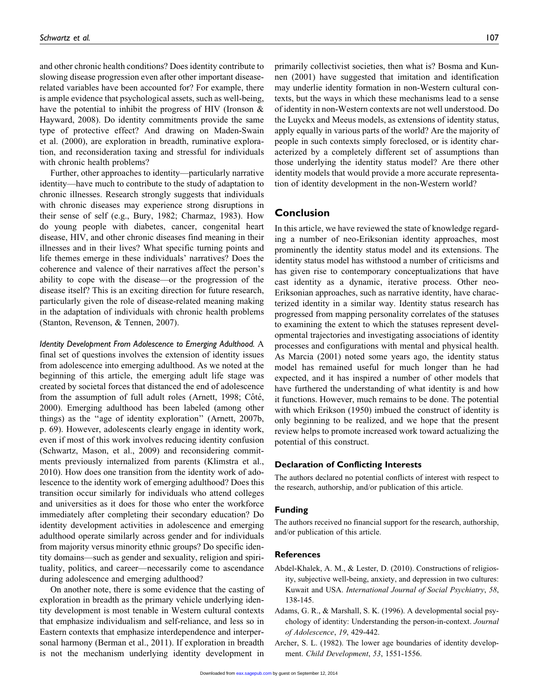and other chronic health conditions? Does identity contribute to slowing disease progression even after other important diseaserelated variables have been accounted for? For example, there is ample evidence that psychological assets, such as well-being, have the potential to inhibit the progress of HIV (Ironson & Hayward, 2008). Do identity commitments provide the same type of protective effect? And drawing on Maden-Swain et al. (2000), are exploration in breadth, ruminative exploration, and reconsideration taxing and stressful for individuals with chronic health problems?

Further, other approaches to identity—particularly narrative identity—have much to contribute to the study of adaptation to chronic illnesses. Research strongly suggests that individuals with chronic diseases may experience strong disruptions in their sense of self (e.g., Bury, 1982; Charmaz, 1983). How do young people with diabetes, cancer, congenital heart disease, HIV, and other chronic diseases find meaning in their illnesses and in their lives? What specific turning points and life themes emerge in these individuals' narratives? Does the coherence and valence of their narratives affect the person's ability to cope with the disease—or the progression of the disease itself? This is an exciting direction for future research, particularly given the role of disease-related meaning making in the adaptation of individuals with chronic health problems (Stanton, Revenson, & Tennen, 2007).

Identity Development From Adolescence to Emerging Adulthood. A final set of questions involves the extension of identity issues from adolescence into emerging adulthood. As we noted at the beginning of this article, the emerging adult life stage was created by societal forces that distanced the end of adolescence from the assumption of full adult roles (Arnett, 1998; Côté, 2000). Emerging adulthood has been labeled (among other things) as the ''age of identity exploration'' (Arnett, 2007b, p. 69). However, adolescents clearly engage in identity work, even if most of this work involves reducing identity confusion (Schwartz, Mason, et al., 2009) and reconsidering commitments previously internalized from parents (Klimstra et al., 2010). How does one transition from the identity work of adolescence to the identity work of emerging adulthood? Does this transition occur similarly for individuals who attend colleges and universities as it does for those who enter the workforce immediately after completing their secondary education? Do identity development activities in adolescence and emerging adulthood operate similarly across gender and for individuals from majority versus minority ethnic groups? Do specific identity domains—such as gender and sexuality, religion and spirituality, politics, and career—necessarily come to ascendance during adolescence and emerging adulthood?

On another note, there is some evidence that the casting of exploration in breadth as the primary vehicle underlying identity development is most tenable in Western cultural contexts that emphasize individualism and self-reliance, and less so in Eastern contexts that emphasize interdependence and interpersonal harmony (Berman et al., 2011). If exploration in breadth is not the mechanism underlying identity development in

primarily collectivist societies, then what is? Bosma and Kunnen (2001) have suggested that imitation and identification may underlie identity formation in non-Western cultural contexts, but the ways in which these mechanisms lead to a sense of identity in non-Western contexts are not well understood. Do the Luyckx and Meeus models, as extensions of identity status, apply equally in various parts of the world? Are the majority of people in such contexts simply foreclosed, or is identity characterized by a completely different set of assumptions than those underlying the identity status model? Are there other identity models that would provide a more accurate representation of identity development in the non-Western world?

# Conclusion

In this article, we have reviewed the state of knowledge regarding a number of neo-Eriksonian identity approaches, most prominently the identity status model and its extensions. The identity status model has withstood a number of criticisms and has given rise to contemporary conceptualizations that have cast identity as a dynamic, iterative process. Other neo-Eriksonian approaches, such as narrative identity, have characterized identity in a similar way. Identity status research has progressed from mapping personality correlates of the statuses to examining the extent to which the statuses represent developmental trajectories and investigating associations of identity processes and configurations with mental and physical health. As Marcia (2001) noted some years ago, the identity status model has remained useful for much longer than he had expected, and it has inspired a number of other models that have furthered the understanding of what identity is and how it functions. However, much remains to be done. The potential with which Erikson (1950) imbued the construct of identity is only beginning to be realized, and we hope that the present review helps to promote increased work toward actualizing the potential of this construct.

### Declaration of Conflicting Interests

The authors declared no potential conflicts of interest with respect to the research, authorship, and/or publication of this article.

## Funding

The authors received no financial support for the research, authorship, and/or publication of this article.

### References

- Abdel-Khalek, A. M., & Lester, D. (2010). Constructions of religiosity, subjective well-being, anxiety, and depression in two cultures: Kuwait and USA. International Journal of Social Psychiatry, 58, 138-145.
- Adams, G. R., & Marshall, S. K. (1996). A developmental social psychology of identity: Understanding the person-in-context. Journal of Adolescence, 19, 429-442.
- Archer, S. L. (1982). The lower age boundaries of identity development. Child Development, 53, 1551-1556.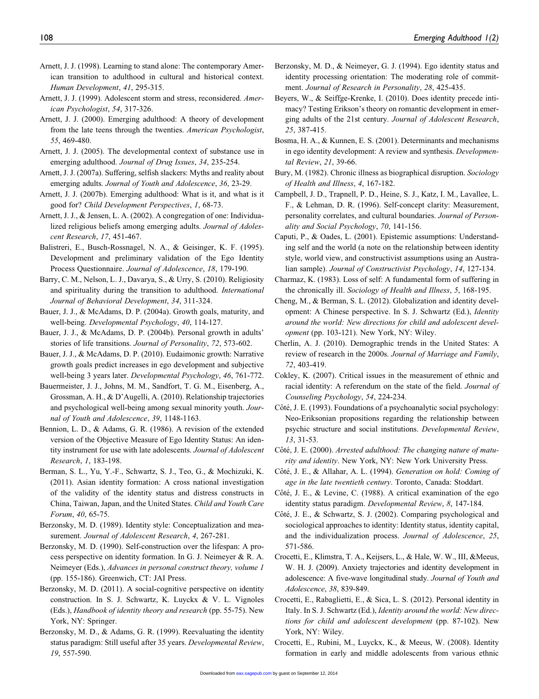- Arnett, J. J. (1998). Learning to stand alone: The contemporary American transition to adulthood in cultural and historical context. Human Development, 41, 295-315.
- Arnett, J. J. (1999). Adolescent storm and stress, reconsidered. American Psychologist, 54, 317-326.
- Arnett, J. J. (2000). Emerging adulthood: A theory of development from the late teens through the twenties. American Psychologist, 55, 469-480.
- Arnett, J. J. (2005). The developmental context of substance use in emerging adulthood. Journal of Drug Issues, 34, 235-254.
- Arnett, J. J. (2007a). Suffering, selfish slackers: Myths and reality about emerging adults. Journal of Youth and Adolescence, 36, 23-29.
- Arnett, J. J. (2007b). Emerging adulthood: What is it, and what is it good for? Child Development Perspectives, 1, 68-73.
- Arnett, J. J., & Jensen, L. A. (2002). A congregation of one: Individualized religious beliefs among emerging adults. Journal of Adolescent Research, 17, 451-467.
- Balistreri, E., Busch-Rossnagel, N. A., & Geisinger, K. F. (1995). Development and preliminary validation of the Ego Identity Process Questionnaire. Journal of Adolescence, 18, 179-190.
- Barry, C. M., Nelson, L. J., Davarya, S., & Urry, S. (2010). Religiosity and spirituality during the transition to adulthood. International Journal of Behavioral Development, 34, 311-324.
- Bauer, J. J., & McAdams, D. P. (2004a). Growth goals, maturity, and well-being. Developmental Psychology, 40, 114-127.
- Bauer, J. J., & McAdams, D. P. (2004b). Personal growth in adults' stories of life transitions. Journal of Personality, 72, 573-602.
- Bauer, J. J., & McAdams, D. P. (2010). Eudaimonic growth: Narrative growth goals predict increases in ego development and subjective well-being 3 years later. Developmental Psychology, 46, 761-772.
- Bauermeister, J. J., Johns, M. M., Sandfort, T. G. M., Eisenberg, A., Grossman, A. H., & D'Augelli, A. (2010). Relationship trajectories and psychological well-being among sexual minority youth. Journal of Youth and Adolescence, 39, 1148-1163.
- Bennion, L. D., & Adams, G. R. (1986). A revision of the extended version of the Objective Measure of Ego Identity Status: An identity instrument for use with late adolescents. Journal of Adolescent Research, 1, 183-198.
- Berman, S. L., Yu, Y.-F., Schwartz, S. J., Teo, G., & Mochizuki, K. (2011). Asian identity formation: A cross national investigation of the validity of the identity status and distress constructs in China, Taiwan, Japan, and the United States. Child and Youth Care Forum, 40, 65-75.
- Berzonsky, M. D. (1989). Identity style: Conceptualization and measurement. Journal of Adolescent Research, 4, 267-281.
- Berzonsky, M. D. (1990). Self-construction over the lifespan: A process perspective on identity formation. In G. J. Neimeyer & R. A. Neimeyer (Eds.), Advances in personal construct theory, volume 1 (pp. 155-186). Greenwich, CT: JAI Press.
- Berzonsky, M. D. (2011). A social-cognitive perspective on identity construction. In S. J. Schwartz, K. Luyckx & V. L. Vignoles (Eds.), Handbook of identity theory and research (pp. 55-75). New York, NY: Springer.
- Berzonsky, M. D., & Adams, G. R. (1999). Reevaluating the identity status paradigm: Still useful after 35 years. Developmental Review, 19, 557-590.
- Berzonsky, M. D., & Neimeyer, G. J. (1994). Ego identity status and identity processing orientation: The moderating role of commitment. Journal of Research in Personality, 28, 425-435.
- Beyers, W., & Seiffge-Krenke, I. (2010). Does identity precede intimacy? Testing Erikson's theory on romantic development in emerging adults of the 21st century. Journal of Adolescent Research, 25, 387-415.
- Bosma, H. A., & Kunnen, E. S. (2001). Determinants and mechanisms in ego identity development: A review and synthesis. Developmental Review, 21, 39-66.
- Bury, M. (1982). Chronic illness as biographical disruption. Sociology of Health and Illness, 4, 167-182.
- Campbell, J. D., Trapnell, P. D., Heine, S. J., Katz, I. M., Lavallee, L. F., & Lehman, D. R. (1996). Self-concept clarity: Measurement, personality correlates, and cultural boundaries. Journal of Personality and Social Psychology, 70, 141-156.
- Caputi, P., & Oades, L. (2001). Epistemic assumptions: Understanding self and the world (a note on the relationship between identity style, world view, and constructivist assumptions using an Australian sample). Journal of Constructivist Psychology, 14, 127-134.
- Charmaz, K. (1983). Loss of self: A fundamental form of suffering in the chronically ill. Sociology of Health and Illness, 5, 168-195.
- Cheng, M., & Berman, S. L. (2012). Globalization and identity development: A Chinese perspective. In S. J. Schwartz (Ed.), Identity around the world: New directions for child and adolescent development (pp. 103-121). New York, NY: Wiley.
- Cherlin, A. J. (2010). Demographic trends in the United States: A review of research in the 2000s. Journal of Marriage and Family, 72, 403-419.
- Cokley, K. (2007). Critical issues in the measurement of ethnic and racial identity: A referendum on the state of the field. Journal of Counseling Psychology, 54, 224-234.
- Côté, J. E. (1993). Foundations of a psychoanalytic social psychology: Neo-Eriksonian propositions regarding the relationship between psychic structure and social institutions. Developmental Review, 13, 31-53.
- Côté, J. E. (2000). Arrested adulthood: The changing nature of maturity and identity. New York, NY: New York University Press.
- Côté, J. E., & Allahar, A. L. (1994). Generation on hold: Coming of age in the late twentieth century. Toronto, Canada: Stoddart.
- Côté, J. E., & Levine, C. (1988). A critical examination of the ego identity status paradigm. Developmental Review, 8, 147-184.
- Côté, J. E., & Schwartz, S. J. (2002). Comparing psychological and sociological approaches to identity: Identity status, identity capital, and the individualization process. Journal of Adolescence, 25, 571-586.
- Crocetti, E., Klimstra, T. A., Keijsers, L., & Hale, W. W., III, &Meeus, W. H. J. (2009). Anxiety trajectories and identity development in adolescence: A five-wave longitudinal study. Journal of Youth and Adolescence, 38, 839-849.
- Crocetti, E., Rabaglietti, E., & Sica, L. S. (2012). Personal identity in Italy. In S. J. Schwartz (Ed.), Identity around the world: New directions for child and adolescent development (pp. 87-102). New York, NY: Wiley.
- Crocetti, E., Rubini, M., Luyckx, K., & Meeus, W. (2008). Identity formation in early and middle adolescents from various ethnic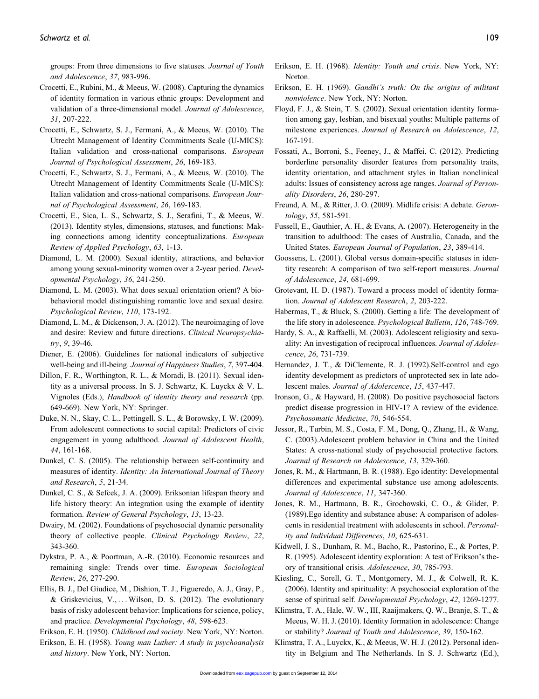groups: From three dimensions to five statuses. Journal of Youth and Adolescence, 37, 983-996.

- Crocetti, E., Rubini, M., & Meeus, W. (2008). Capturing the dynamics of identity formation in various ethnic groups: Development and validation of a three-dimensional model. Journal of Adolescence, 31, 207-222.
- Crocetti, E., Schwartz, S. J., Fermani, A., & Meeus, W. (2010). The Utrecht Management of Identity Commitments Scale (U-MICS): Italian validation and cross-national comparisons. European Journal of Psychological Assessment, 26, 169-183.
- Crocetti, E., Schwartz, S. J., Fermani, A., & Meeus, W. (2010). The Utrecht Management of Identity Commitments Scale (U-MICS): Italian validation and cross-national comparisons. European Journal of Psychological Assessment, 26, 169-183.
- Crocetti, E., Sica, L. S., Schwartz, S. J., Serafini, T., & Meeus, W. (2013). Identity styles, dimensions, statuses, and functions: Making connections among identity conceptualizations. European Review of Applied Psychology, 63, 1-13.
- Diamond, L. M. (2000). Sexual identity, attractions, and behavior among young sexual-minority women over a 2-year period. Developmental Psychology, 36, 241-250.
- Diamond, L. M. (2003). What does sexual orientation orient? A biobehavioral model distinguishing romantic love and sexual desire. Psychological Review, 110, 173-192.
- Diamond, L. M., & Dickenson, J. A. (2012). The neuroimaging of love and desire: Review and future directions. Clinical Neuropsychiatry, 9, 39-46.
- Diener, E. (2006). Guidelines for national indicators of subjective well-being and ill-being. Journal of Happiness Studies, 7, 397-404.
- Dillon, F. R., Worthington, R. L., & Moradi, B. (2011). Sexual identity as a universal process. In S. J. Schwartz, K. Luyckx & V. L. Vignoles (Eds.), Handbook of identity theory and research (pp. 649-669). New York, NY: Springer.
- Duke, N. N., Skay, C. L., Pettingell, S. L., & Borowsky, I. W. (2009). From adolescent connections to social capital: Predictors of civic engagement in young adulthood. Journal of Adolescent Health, 44, 161-168.
- Dunkel, C. S. (2005). The relationship between self-continuity and measures of identity. Identity: An International Journal of Theory and Research, 5, 21-34.
- Dunkel, C. S., & Sefcek, J. A. (2009). Eriksonian lifespan theory and life history theory: An integration using the example of identity formation. Review of General Psychology, 13, 13-23.
- Dwairy, M. (2002). Foundations of psychosocial dynamic personality theory of collective people. Clinical Psychology Review, 22, 343-360.
- Dykstra, P. A., & Poortman, A.-R. (2010). Economic resources and remaining single: Trends over time. European Sociological Review, 26, 277-290.
- Ellis, B. J., Del Giudice, M., Dishion, T. J., Figueredo, A. J., Gray, P., & Griskevicius, V., ... Wilson, D. S. (2012). The evolutionary basis of risky adolescent behavior: Implications for science, policy, and practice. Developmental Psychology, 48, 598-623.

Erikson, E. H. (1950). Childhood and society. New York, NY: Norton.

Erikson, E. H. (1958). Young man Luther: A study in psychoanalysis and history. New York, NY: Norton.

- Erikson, E. H. (1968). Identity: Youth and crisis. New York, NY: Norton.
- Erikson, E. H. (1969). Gandhi's truth: On the origins of militant nonviolence. New York, NY: Norton.
- Floyd, F. J., & Stein, T. S. (2002). Sexual orientation identity formation among gay, lesbian, and bisexual youths: Multiple patterns of milestone experiences. Journal of Research on Adolescence, 12, 167-191.
- Fossati, A., Borroni, S., Feeney, J., & Maffei, C. (2012). Predicting borderline personality disorder features from personality traits, identity orientation, and attachment styles in Italian nonclinical adults: Issues of consistency across age ranges. Journal of Personality Disorders, 26, 280-297.
- Freund, A. M., & Ritter, J. O. (2009). Midlife crisis: A debate. Gerontology, 55, 581-591.
- Fussell, E., Gauthier, A. H., & Evans, A. (2007). Heterogeneity in the transition to adulthood: The cases of Australia, Canada, and the United States. European Journal of Population, 23, 389-414.
- Goossens, L. (2001). Global versus domain-specific statuses in identity research: A comparison of two self-report measures. Journal of Adolescence, 24, 681-699.
- Grotevant, H. D. (1987). Toward a process model of identity formation. Journal of Adolescent Research, 2, 203-222.
- Habermas, T., & Bluck, S. (2000). Getting a life: The development of the life story in adolescence. Psychological Bulletin, 126, 748-769.
- Hardy, S. A., & Raffaelli, M. (2003). Adolescent religiosity and sexuality: An investigation of reciprocal influences. Journal of Adolescence, 26, 731-739.
- Hernandez, J. T., & DiClemente, R. J. (1992).Self-control and ego identity development as predictors of unprotected sex in late adolescent males. Journal of Adolescence, 15, 437-447.
- Ironson, G., & Hayward, H. (2008). Do positive psychosocial factors predict disease progression in HIV-1? A review of the evidence. Psychosomatic Medicine, 70, 546-554.
- Jessor, R., Turbin, M. S., Costa, F. M., Dong, Q., Zhang, H., & Wang, C. (2003).Adolescent problem behavior in China and the United States: A cross-national study of psychosocial protective factors. Journal of Research on Adolescence, 13, 329-360.
- Jones, R. M., & Hartmann, B. R. (1988). Ego identity: Developmental differences and experimental substance use among adolescents. Journal of Adolescence, 11, 347-360.
- Jones, R. M., Hartmann, B. R., Grochowski, C. O., & Glider, P. (1989).Ego identity and substance abuse: A comparison of adolescents in residential treatment with adolescents in school. Personality and Individual Differences, 10, 625-631.
- Kidwell, J. S., Dunham, R. M., Bacho, R., Pastorino, E., & Portes, P. R. (1995). Adolescent identity exploration: A test of Erikson's theory of transitional crisis. Adolescence, 30, 785-793.
- Kiesling, C., Sorell, G. T., Montgomery, M. J., & Colwell, R. K. (2006). Identity and spirituality: A psychosocial exploration of the sense of spiritual self. Developmental Psychology, 42, 1269-1277.
- Klimstra, T. A., Hale, W. W., III, Raaijmakers, Q. W., Branje, S. T., & Meeus, W. H. J. (2010). Identity formation in adolescence: Change or stability? Journal of Youth and Adolescence, 39, 150-162.
- Klimstra, T. A., Luyckx, K., & Meeus, W. H. J. (2012). Personal identity in Belgium and The Netherlands. In S. J. Schwartz (Ed.),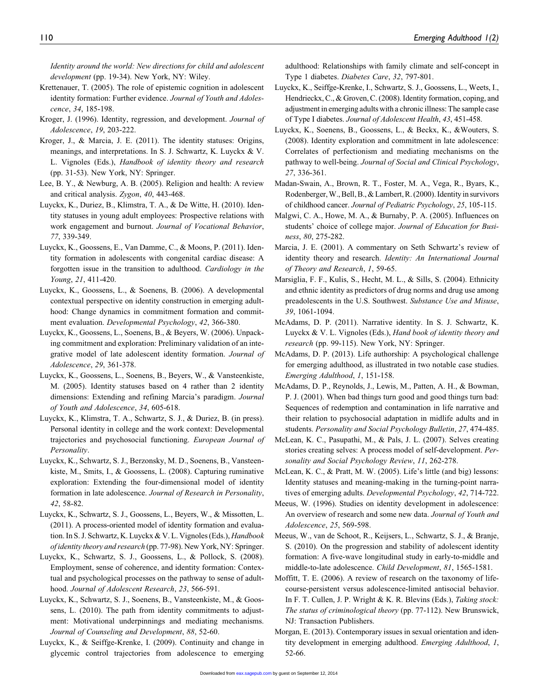Identity around the world: New directions for child and adolescent development (pp. 19-34). New York, NY: Wiley.

- Krettenauer, T. (2005). The role of epistemic cognition in adolescent identity formation: Further evidence. Journal of Youth and Adolescence, 34, 185-198.
- Kroger, J. (1996). Identity, regression, and development. Journal of Adolescence, 19, 203-222.
- Kroger, J., & Marcia, J. E. (2011). The identity statuses: Origins, meanings, and interpretations. In S. J. Schwartz, K. Luyckx & V. L. Vignoles (Eds.), Handbook of identity theory and research (pp. 31-53). New York, NY: Springer.
- Lee, B. Y., & Newburg, A. B. (2005). Religion and health: A review and critical analysis. Zygon, 40, 443-468.
- Luyckx, K., Duriez, B., Klimstra, T. A., & De Witte, H. (2010). Identity statuses in young adult employees: Prospective relations with work engagement and burnout. Journal of Vocational Behavior, 77, 339-349.
- Luyckx, K., Goossens, E., Van Damme, C., & Moons, P. (2011). Identity formation in adolescents with congenital cardiac disease: A forgotten issue in the transition to adulthood. Cardiology in the Young, 21, 411-420.
- Luyckx, K., Goossens, L., & Soenens, B. (2006). A developmental contextual perspective on identity construction in emerging adulthood: Change dynamics in commitment formation and commitment evaluation. Developmental Psychology, 42, 366-380.
- Luyckx, K., Goossens, L., Soenens, B., & Beyers, W. (2006). Unpacking commitment and exploration: Preliminary validation of an integrative model of late adolescent identity formation. Journal of Adolescence, 29, 361-378.
- Luyckx, K., Goossens, L., Soenens, B., Beyers, W., & Vansteenkiste, M. (2005). Identity statuses based on 4 rather than 2 identity dimensions: Extending and refining Marcia's paradigm. Journal of Youth and Adolescence, 34, 605-618.
- Luyckx, K., Klimstra, T. A., Schwartz, S. J., & Duriez, B. (in press). Personal identity in college and the work context: Developmental trajectories and psychosocial functioning. European Journal of Personality.
- Luyckx, K., Schwartz, S. J., Berzonsky, M. D., Soenens, B., Vansteenkiste, M., Smits, I., & Goossens, L. (2008). Capturing ruminative exploration: Extending the four-dimensional model of identity formation in late adolescence. Journal of Research in Personality, 42, 58-82.
- Luyckx, K., Schwartz, S. J., Goossens, L., Beyers, W., & Missotten, L. (2011). A process-oriented model of identity formation and evaluation. In S. J. Schwartz, K. Luyckx & V. L. Vignoles (Eds.), Handbook of identity theory and research (pp. 77-98). New York, NY: Springer.
- Luyckx, K., Schwartz, S. J., Goossens, L., & Pollock, S. (2008). Employment, sense of coherence, and identity formation: Contextual and psychological processes on the pathway to sense of adulthood. Journal of Adolescent Research, 23, 566-591.
- Luyckx, K., Schwartz, S. J., Soenens, B., Vansteenkiste, M., & Goossens, L. (2010). The path from identity commitments to adjustment: Motivational underpinnings and mediating mechanisms. Journal of Counseling and Development, 88, 52-60.
- Luyckx, K., & Seiffge-Krenke, I. (2009). Continuity and change in glycemic control trajectories from adolescence to emerging

adulthood: Relationships with family climate and self-concept in Type 1 diabetes. Diabetes Care, 32, 797-801.

- Luyckx, K., Seiffge-Krenke, I., Schwartz, S. J., Goossens, L., Weets, I., Hendrieckx, C., & Groven, C. (2008). Identity formation, coping, and adjustment in emerging adults with a chronic illness: The sample case of Type I diabetes. Journal of Adolescent Health, 43, 451-458.
- Luyckx, K., Soenens, B., Goossens, L., & Beckx, K., &Wouters, S. (2008). Identity exploration and commitment in late adolescence: Correlates of perfectionism and mediating mechanisms on the pathway to well-being. Journal of Social and Clinical Psychology, 27, 336-361.
- Madan-Swain, A., Brown, R. T., Foster, M. A., Vega, R., Byars, K., Rodenberger, W., Bell, B., & Lambert, R. (2000). Identity in survivors of childhood cancer. Journal of Pediatric Psychology, 25, 105-115.
- Malgwi, C. A., Howe, M. A., & Burnaby, P. A. (2005). Influences on students' choice of college major. Journal of Education for Business, 80, 275-282.
- Marcia, J. E. (2001). A commentary on Seth Schwartz's review of identity theory and research. Identity: An International Journal of Theory and Research, 1, 59-65.
- Marsiglia, F. F., Kulis, S., Hecht, M. L., & Sills, S. (2004). Ethnicity and ethnic identity as predictors of drug norms and drug use among preadolescents in the U.S. Southwest. Substance Use and Misuse, 39, 1061-1094.
- McAdams, D. P. (2011). Narrative identity. In S. J. Schwartz, K. Luyckx & V. L. Vignoles (Eds.), Hand book of identity theory and research (pp. 99-115). New York, NY: Springer.
- McAdams, D. P. (2013). Life authorship: A psychological challenge for emerging adulthood, as illustrated in two notable case studies. Emerging Adulthood, 1, 151-158.
- McAdams, D. P., Reynolds, J., Lewis, M., Patten, A. H., & Bowman, P. J. (2001). When bad things turn good and good things turn bad: Sequences of redemption and contamination in life narrative and their relation to psychosocial adaptation in midlife adults and in students. Personality and Social Psychology Bulletin, 27, 474-485.
- McLean, K. C., Pasupathi, M., & Pals, J. L. (2007). Selves creating stories creating selves: A process model of self-development. Personality and Social Psychology Review, 11, 262-278.
- McLean, K. C., & Pratt, M. W. (2005). Life's little (and big) lessons: Identity statuses and meaning-making in the turning-point narratives of emerging adults. Developmental Psychology, 42, 714-722.
- Meeus, W. (1996). Studies on identity development in adolescence: An overview of research and some new data. Journal of Youth and Adolescence, 25, 569-598.
- Meeus, W., van de Schoot, R., Keijsers, L., Schwartz, S. J., & Branje, S. (2010). On the progression and stability of adolescent identity formation: A five-wave longitudinal study in early-to-middle and middle-to-late adolescence. Child Development, 81, 1565-1581.
- Moffitt, T. E. (2006). A review of research on the taxonomy of lifecourse-persistent versus adolescence-limited antisocial behavior. In F. T. Cullen, J. P. Wright & K. R. Blevins (Eds.), Taking stock: The status of criminological theory (pp. 77-112). New Brunswick, NJ: Transaction Publishers.
- Morgan, E. (2013). Contemporary issues in sexual orientation and identity development in emerging adulthood. Emerging Adulthood, 1, 52-66.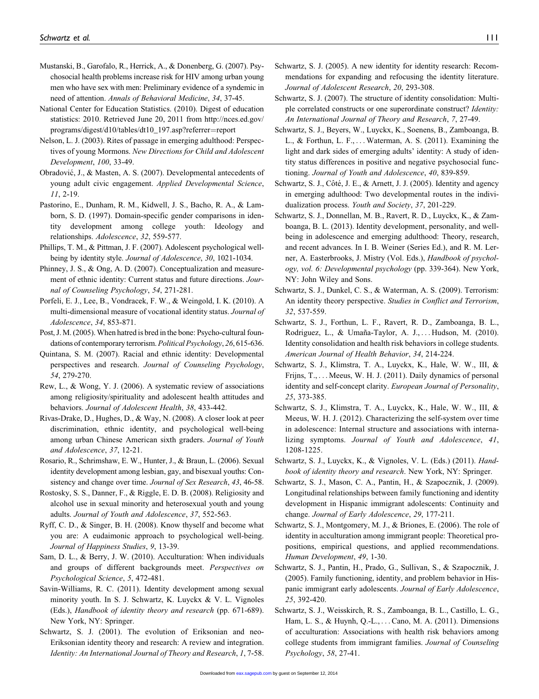- Mustanski, B., Garofalo, R., Herrick, A., & Donenberg, G. (2007). Psychosocial health problems increase risk for HIV among urban young men who have sex with men: Preliminary evidence of a syndemic in need of attention. Annals of Behavioral Medicine, 34, 37-45.
- National Center for Education Statistics. (2010). Digest of education statistics: 2010. Retrieved June 20, 2011 from [http://nces.ed.gov/](http://nces.ed.gov/programs/digest/d10/tables/dt10_197.asp?referrer=report) [programs/digest/d10/tables/dt10\\_197.asp?referrer](http://nces.ed.gov/programs/digest/d10/tables/dt10_197.asp?referrer=report)=[report](http://nces.ed.gov/programs/digest/d10/tables/dt10_197.asp?referrer=report)
- Nelson, L. J. (2003). Rites of passage in emerging adulthood: Perspectives of young Mormons. New Directions for Child and Adolescent Development, 100, 33-49.
- Obradović, J., & Masten, A. S. (2007). Developmental antecedents of young adult civic engagement. Applied Developmental Science, 11, 2-19.
- Pastorino, E., Dunham, R. M., Kidwell, J. S., Bacho, R. A., & Lamborn, S. D. (1997). Domain-specific gender comparisons in identity development among college youth: Ideology and relationships. Adolescence, 32, 559-577.
- Phillips, T. M., & Pittman, J. F. (2007). Adolescent psychological wellbeing by identity style. Journal of Adolescence, 30, 1021-1034.
- Phinney, J. S., & Ong, A. D. (2007). Conceptualization and measurement of ethnic identity: Current status and future directions. Journal of Counseling Psychology, 54, 271-281.
- Porfeli, E. J., Lee, B., Vondracek, F. W., & Weingold, I. K. (2010). A multi-dimensional measure of vocational identity status. Journal of Adolescence, 34, 853-871.
- Post, J. M. (2005). When hatred is bred in the bone: Psycho-cultural foundations of contemporary terrorism. Political Psychology, 26, 615-636.
- Quintana, S. M. (2007). Racial and ethnic identity: Developmental perspectives and research. Journal of Counseling Psychology, 54, 279-270.
- Rew, L., & Wong, Y. J. (2006). A systematic review of associations among religiosity/spirituality and adolescent health attitudes and behaviors. Journal of Adolescent Health, 38, 433-442.
- Rivas-Drake, D., Hughes, D., & Way, N. (2008). A closer look at peer discrimination, ethnic identity, and psychological well-being among urban Chinese American sixth graders. Journal of Youth and Adolescence, 37, 12-21.
- Rosario, R., Schrimshaw, E. W., Hunter, J., & Braun, L. (2006). Sexual identity development among lesbian, gay, and bisexual youths: Consistency and change over time. *Journal of Sex Research*, 43, 46-58.
- Rostosky, S. S., Danner, F., & Riggle, E. D. B. (2008). Religiosity and alcohol use in sexual minority and heterosexual youth and young adults. Journal of Youth and Adolescence, 37, 552-563.
- Ryff, C. D., & Singer, B. H. (2008). Know thyself and become what you are: A eudaimonic approach to psychological well-being. Journal of Happiness Studies, 9, 13-39.
- Sam, D. L., & Berry, J. W. (2010). Acculturation: When individuals and groups of different backgrounds meet. Perspectives on Psychological Science, 5, 472-481.
- Savin-Williams, R. C. (2011). Identity development among sexual minority youth. In S. J. Schwartz, K. Luyckx & V. L. Vignoles (Eds.), Handbook of identity theory and research (pp. 671-689). New York, NY: Springer.
- Schwartz, S. J. (2001). The evolution of Eriksonian and neo-Eriksonian identity theory and research: A review and integration. Identity: An International Journal of Theory and Research, 1, 7-58.
- Schwartz, S. J. (2005). A new identity for identity research: Recommendations for expanding and refocusing the identity literature. Journal of Adolescent Research, 20, 293-308.
- Schwartz, S. J. (2007). The structure of identity consolidation: Multiple correlated constructs or one superordinate construct? Identity: An International Journal of Theory and Research, 7, 27-49.
- Schwartz, S. J., Beyers, W., Luyckx, K., Soenens, B., Zamboanga, B. L., & Forthun, L. F., ... Waterman, A. S. (2011). Examining the light and dark sides of emerging adults' identity: A study of identity status differences in positive and negative psychosocial functioning. Journal of Youth and Adolescence, 40, 839-859.
- Schwartz, S. J., Côté, J. E., & Arnett, J. J. (2005). Identity and agency in emerging adulthood: Two developmental routes in the individualization process. Youth and Society, 37, 201-229.
- Schwartz, S. J., Donnellan, M. B., Ravert, R. D., Luyckx, K., & Zamboanga, B. L. (2013). Identity development, personality, and wellbeing in adolescence and emerging adulthood: Theory, research, and recent advances. In I. B. Weiner (Series Ed.), and R. M. Lerner, A. Easterbrooks, J. Mistry (Vol. Eds.), Handbook of psychology, vol. 6: Developmental psychology (pp. 339-364). New York, NY: John Wiley and Sons.
- Schwartz, S. J., Dunkel, C. S., & Waterman, A. S. (2009). Terrorism: An identity theory perspective. Studies in Conflict and Terrorism, 32, 537-559.
- Schwartz, S. J., Forthun, L. F., Ravert, R. D., Zamboanga, B. L., Rodriguez, L., & Umaña-Taylor, A. J., ... Hudson, M.  $(2010)$ . Identity consolidation and health risk behaviors in college students. American Journal of Health Behavior, 34, 214-224.
- Schwartz, S. J., Klimstra, T. A., Luyckx, K., Hale, W. W., III, & Frijns, T., ... Meeus, W. H. J. (2011). Daily dynamics of personal identity and self-concept clarity. European Journal of Personality, 25, 373-385.
- Schwartz, S. J., Klimstra, T. A., Luyckx, K., Hale, W. W., III, & Meeus, W. H. J. (2012). Characterizing the self-system over time in adolescence: Internal structure and associations with internalizing symptoms. Journal of Youth and Adolescence, 41, 1208-1225.
- Schwartz, S. J., Luyckx, K., & Vignoles, V. L. (Eds.) (2011). Handbook of identity theory and research. New York, NY: Springer.
- Schwartz, S. J., Mason, C. A., Pantin, H., & Szapocznik, J. (2009). Longitudinal relationships between family functioning and identity development in Hispanic immigrant adolescents: Continuity and change. Journal of Early Adolescence, 29, 177-211.
- Schwartz, S. J., Montgomery, M. J., & Briones, E. (2006). The role of identity in acculturation among immigrant people: Theoretical propositions, empirical questions, and applied recommendations. Human Development, 49, 1-30.
- Schwartz, S. J., Pantin, H., Prado, G., Sullivan, S., & Szapocznik, J. (2005). Family functioning, identity, and problem behavior in Hispanic immigrant early adolescents. Journal of Early Adolescence, 25, 392-420.
- Schwartz, S. J., Weisskirch, R. S., Zamboanga, B. L., Castillo, L. G., Ham, L. S., & Huynh, Q.-L., ...Cano, M. A. (2011). Dimensions of acculturation: Associations with health risk behaviors among college students from immigrant families. Journal of Counseling Psychology, 58, 27-41.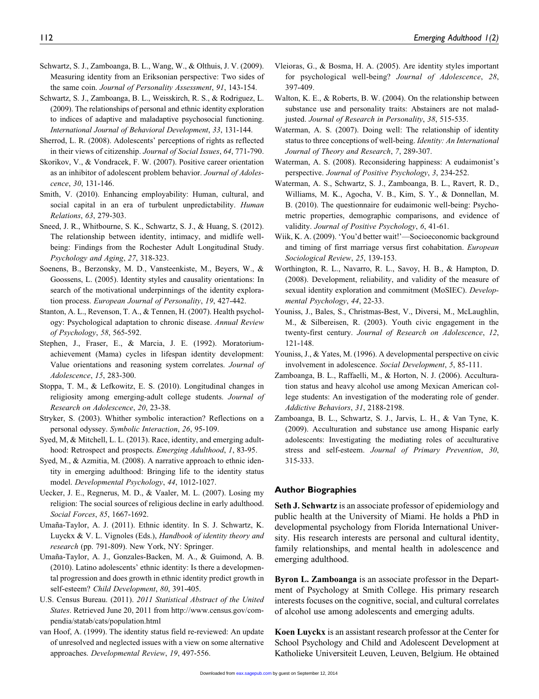- Schwartz, S. J., Zamboanga, B. L., Wang, W., & Olthuis, J. V. (2009). Measuring identity from an Eriksonian perspective: Two sides of the same coin. Journal of Personality Assessment, 91, 143-154.
- Schwartz, S. J., Zamboanga, B. L., Weisskirch, R. S., & Rodriguez, L. (2009). The relationships of personal and ethnic identity exploration to indices of adaptive and maladaptive psychosocial functioning. International Journal of Behavioral Development, 33, 131-144.
- Sherrod, L. R. (2008). Adolescents' perceptions of rights as reflected in their views of citizenship. Journal of Social Issues, 64, 771-790.
- Skorikov, V., & Vondracek, F. W. (2007). Positive career orientation as an inhibitor of adolescent problem behavior. Journal of Adolescence, 30, 131-146.
- Smith, V. (2010). Enhancing employability: Human, cultural, and social capital in an era of turbulent unpredictability. Human Relations, 63, 279-303.
- Sneed, J. R., Whitbourne, S. K., Schwartz, S. J., & Huang, S. (2012). The relationship between identity, intimacy, and midlife wellbeing: Findings from the Rochester Adult Longitudinal Study. Psychology and Aging, 27, 318-323.
- Soenens, B., Berzonsky, M. D., Vansteenkiste, M., Beyers, W., & Goossens, L. (2005). Identity styles and causality orientations: In search of the motivational underpinnings of the identity exploration process. European Journal of Personality, 19, 427-442.
- Stanton, A. L., Revenson, T. A., & Tennen, H. (2007). Health psychology: Psychological adaptation to chronic disease. Annual Review of Psychology, 58, 565-592.
- Stephen, J., Fraser, E., & Marcia, J. E. (1992). Moratoriumachievement (Mama) cycles in lifespan identity development: Value orientations and reasoning system correlates. Journal of Adolescence, 15, 283-300.
- Stoppa, T. M., & Lefkowitz, E. S. (2010). Longitudinal changes in religiosity among emerging-adult college students. Journal of Research on Adolescence, 20, 23-38.
- Stryker, S. (2003). Whither symbolic interaction? Reflections on a personal odyssey. Symbolic Interaction, 26, 95-109.
- Syed, M, & Mitchell, L. L. (2013). Race, identity, and emerging adulthood: Retrospect and prospects. Emerging Adulthood, 1, 83-95.
- Syed, M., & Azmitia, M. (2008). A narrative approach to ethnic identity in emerging adulthood: Bringing life to the identity status model. Developmental Psychology, 44, 1012-1027.
- Uecker, J. E., Regnerus, M. D., & Vaaler, M. L. (2007). Losing my religion: The social sources of religious decline in early adulthood. Social Forces, 85, 1667-1692.
- Umaña-Taylor, A. J. (2011). Ethnic identity. In S. J. Schwartz, K. Luyckx & V. L. Vignoles (Eds.), Handbook of identity theory and research (pp. 791-809). New York, NY: Springer.
- Umaña-Taylor, A. J., Gonzales-Backen, M. A., & Guimond, A. B. (2010). Latino adolescents' ethnic identity: Is there a developmental progression and does growth in ethnic identity predict growth in self-esteem? Child Development, 80, 391-405.
- U.S. Census Bureau. (2011). 2011 Statistical Abstract of the United States. Retrieved June 20, 2011 from [http://www.census.gov/com](http://www.census.gov/compendia/statab/cats/population.html)[pendia/statab/cats/population.html](http://www.census.gov/compendia/statab/cats/population.html)
- van Hoof, A. (1999). The identity status field re-reviewed: An update of unresolved and neglected issues with a view on some alternative approaches. Developmental Review, 19, 497-556.
- Vleioras, G., & Bosma, H. A. (2005). Are identity styles important for psychological well-being? Journal of Adolescence, 28, 397-409.
- Walton, K. E., & Roberts, B. W. (2004). On the relationship between substance use and personality traits: Abstainers are not maladjusted. Journal of Research in Personality, 38, 515-535.
- Waterman, A. S. (2007). Doing well: The relationship of identity status to three conceptions of well-being. Identity: An International Journal of Theory and Research, 7, 289-307.
- Waterman, A. S. (2008). Reconsidering happiness: A eudaimonist's perspective. Journal of Positive Psychology, 3, 234-252.
- Waterman, A. S., Schwartz, S. J., Zamboanga, B. L., Ravert, R. D., Williams, M. K., Agocha, V. B., Kim, S. Y., & Donnellan, M. B. (2010). The questionnaire for eudaimonic well-being: Psychometric properties, demographic comparisons, and evidence of validity. Journal of Positive Psychology, 6, 41-61.
- Wiik, K. A. (2009). 'You'd better wait!'—Socioeconomic background and timing of first marriage versus first cohabitation. European Sociological Review, 25, 139-153.
- Worthington, R. L., Navarro, R. L., Savoy, H. B., & Hampton, D. (2008). Development, reliability, and validity of the measure of sexual identity exploration and commitment (MoSIEC). Developmental Psychology, 44, 22-33.
- Youniss, J., Bales, S., Christmas-Best, V., Diversi, M., McLaughlin, M., & Silbereisen, R. (2003). Youth civic engagement in the twenty-first century. Journal of Research on Adolescence, 12, 121-148.
- Youniss, J., & Yates, M. (1996). A developmental perspective on civic involvement in adolescence. Social Development, 5, 85-111.
- Zamboanga, B. L., Raffaelli, M., & Horton, N. J. (2006). Acculturation status and heavy alcohol use among Mexican American college students: An investigation of the moderating role of gender. Addictive Behaviors, 31, 2188-2198.
- Zamboanga, B. L., Schwartz, S. J., Jarvis, L. H., & Van Tyne, K. (2009). Acculturation and substance use among Hispanic early adolescents: Investigating the mediating roles of acculturative stress and self-esteem. Journal of Primary Prevention, 30, 315-333.

# Author Biographies

Seth J. Schwartz is an associate professor of epidemiology and public health at the University of Miami. He holds a PhD in developmental psychology from Florida International University. His research interests are personal and cultural identity, family relationships, and mental health in adolescence and emerging adulthood.

Byron L. Zamboanga is an associate professor in the Department of Psychology at Smith College. His primary research interests focuses on the cognitive, social, and cultural correlates of alcohol use among adolescents and emerging adults.

Koen Luyckx is an assistant research professor at the Center for School Psychology and Child and Adolescent Development at Katholieke Universiteit Leuven, Leuven, Belgium. He obtained